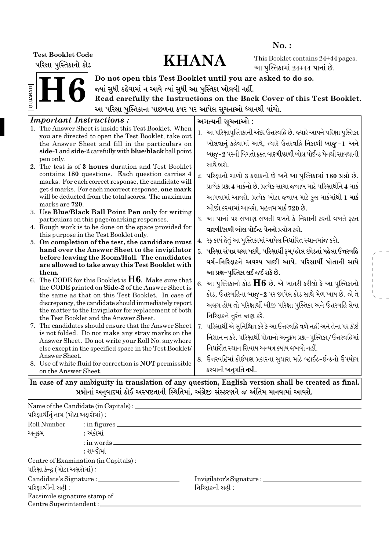પરિક્ષા પુસ્તિકાનો કોડ

## Test Booklet Code<br>| Mari | Maria Data | Maria Data | Maria Data | Maria Data | Maria Data | Maria Data | Maria Data | Maria Dat<br>| Maria Data | Maria Data | Maria Data | Maria Data | Maria Data | Maria Data | Maria Data | M

No. :

This Booklet contains 24+44 pages. આ પુસ્તિકામાં  $24+44$  પાનાં છે.



Do not open this Test Booklet until you are asked to do so. જ્યાં સુધી કહેવામાં ન આવે ત્યાં સુધી આ પુસ્તિકા ખોલવી નહીં.

Read carefully the Instructions on the Back Cover of this Test Booklet. આ પરિક્ષા પુસ્તિકાના પાછળના કવર પર આપેલ સૂચનાઓ ધ્યાનથી વાંચો.

| <i>Important Instructions:</i>                                                                                                                                                                                                                                                                                                                                                         | અગત્યની સૂચનાઓ :                                                                                                                                                                                                                                                                                |  |  |  |  |  |  |  |  |
|----------------------------------------------------------------------------------------------------------------------------------------------------------------------------------------------------------------------------------------------------------------------------------------------------------------------------------------------------------------------------------------|-------------------------------------------------------------------------------------------------------------------------------------------------------------------------------------------------------------------------------------------------------------------------------------------------|--|--|--|--|--|--|--|--|
| 1. The Answer Sheet is inside this Test Booklet. When<br>you are directed to open the Test Booklet, take out<br>the Answer Sheet and fill in the particulars on<br>side-1 and side-2 carefully with blue/black ball point                                                                                                                                                              | 1.  આ પરિક્ષાપુસ્તિકાની અંદર ઉત્તરવહિ છે. જ્યારે આપને પરિક્ષા પુસ્તિકા<br>ખોલવાનું કહેવામાં આવે, ત્યારે ઉત્તરવહિ નિકાળી બાજુ -1 અને<br>બાજુ-2 પરની વિગતો ફક્ત વાદળી/કાળી બોલ પોઈન્ટ પેનથી સાવધાની                                                                                               |  |  |  |  |  |  |  |  |
| pen only.<br>2. The test is of 3 hours duration and Test Booklet<br>contains 180 questions. Each question carries 4<br>marks. For each correct response, the candidate will<br>get 4 marks. For each incorrect response, one mark<br>will be deducted from the total scores. The maximum<br>marks are 720.                                                                             | સાથે ભરો.<br>2. પરિક્ષાનો ગાળો 3 કલાકનો છે અને આ પુસ્તિકામાં 180 પ્રશ્નો છે.<br>પ્રત્યેક પ્રશ્ન 4 માર્કનો છે. પ્રત્યેક સાચા જવાબ માટે પરિક્ષાર્થીને 4 માર્ક<br>આપવામાં આવશે. પ્રત્યેક ખોટા જવાબ માટે કુલ માર્કમાંથી 1 માર્ક<br>ઓછો કરવામાં આવશે. મહત્તમ માર્ક 720 છે.                           |  |  |  |  |  |  |  |  |
| 3. Use Blue/Black Ball Point Pen only for writing<br>particulars on this page/marking responses.                                                                                                                                                                                                                                                                                       | 3. આ પાનાં પર લખાણ લખતી વખતે કે નિશાની કરતી વખતે ફક્ત                                                                                                                                                                                                                                           |  |  |  |  |  |  |  |  |
| 4. Rough work is to be done on the space provided for<br>this purpose in the Test Booklet only.                                                                                                                                                                                                                                                                                        | વાદળી/કાળી બોલ પોઈન્ટ પેનનો પ્રયોગ કરો.                                                                                                                                                                                                                                                         |  |  |  |  |  |  |  |  |
| 5. On completion of the test, the candidate must<br>hand over the Answer Sheet to the invigilator<br>before leaving the Room/Hall. The candidates                                                                                                                                                                                                                                      | 4.   રફ કાર્ય હેતું આ પુસ્તિકામાં આપેલ નિર્ધારિત સ્થાનમાંજ કરો.<br>5. પરિક્ષા સંપન્ન થયા પછી, પરિક્ષાર્થી રૂમ/હોલ છોડતાં પહેલા ઉત્તરવહિ<br>વર્ગ-નિરિક્ષકને અવશ્ય પાછી આપે. પરિક્ષાર્થી પોતાની સાથે                                                                                              |  |  |  |  |  |  |  |  |
| are allowed to take away this Test Booklet with<br>them.<br>6. The CODE for this Booklet is $H6$ . Make sure that<br>the CODE printed on Side-2 of the Answer Sheet is<br>the same as that on this Test Booklet. In case of<br>discrepancy, the candidate should immediately report<br>the matter to the Invigilator for replacement of both<br>the Test Booklet and the Answer Sheet. | આ પ્રશ્ન-પુસ્તિકા લઈ જઈ શકે છે.<br>6. આ પુસ્તિકાનો કોડ $\rm{H6}$ છે. એ ખાતરી કરીલો કે આ પુસ્તિકાનો<br>કોડ, ઉત્તરવહિના બાજુ-2 પર છાપેલ કોડ સાથે મેળ ખાય છે. જો તે<br>અલગ હોય તો પરિક્ષાર્થી બીજી પરિક્ષા પુસ્તિકા અને ઉત્તરવહિ લેવા<br>નિરિક્ષકને તુરંત જાણ કરે.                                 |  |  |  |  |  |  |  |  |
| 7. The candidates should ensure that the Answer Sheet<br>is not folded. Do not make any stray marks on the<br>Answer Sheet. Do not write your Roll No. anywhere<br>else except in the specified space in the Test Booklet/<br>Answer Sheet.<br>8. Use of white fluid for correction is <b>NOT</b> permissible<br>on the Answer Sheet.                                                  | 7. પરિક્ષાર્થી એ સુનિશ્ચિત કરે કે આ ઉત્તરવહિ વળે નહીં અને તેના પર કોઈ<br>નિશાન ન કરે. પરિક્ષાર્થી પોતાનો અનુક્રમ પ્રશ્ન-પુસ્તિકા/ઉત્તરવહિમાં<br>નિર્ધારીત સ્થાન સિવાય અન્યત્ર ક્યાંય લખવો નહીં.<br>8.  ઉત્તરવહિમાં કોઈપણ પ્રકારના સુધારા માટે વ્હાઈટ-ઈન્કનો ઉપયોગ<br>કરવાની અનુમતિ <b>નથી</b> . |  |  |  |  |  |  |  |  |
| In case of any ambiguity in translation of any question, English version shall be treated as final.                                                                                                                                                                                                                                                                                    |                                                                                                                                                                                                                                                                                                 |  |  |  |  |  |  |  |  |

ેપ્રશ્નોનાં અનુવાદમાં કોઈ અસ્પષ્ટતાની સ્થિતિમાં, અંગ્રેજી સંસ્કરણને જ અંતિમ માનવામાં આવશે.

|                                                        | Name of the Candidate (in Capitals) : ________ |                                                          |  |
|--------------------------------------------------------|------------------------------------------------|----------------------------------------------------------|--|
| પરિક્ષાર્થીનું નામ (મોટા અક્ષરોમાં) :                  |                                                |                                                          |  |
| અનૂક્રમ                                                | Roll Number : in figures<br>: અંકોમાં          |                                                          |  |
|                                                        | $:$ in words $\_\_$<br>: શબ્દોમાં              |                                                          |  |
| પરિક્ષા કેન્દ્ર (મોટા અક્ષરોમાં) :                     |                                                |                                                          |  |
| પરિક્ષાર્થીની સહી :                                    |                                                | Invigilator's Signature : __________<br>નિરિક્ષકની સહી : |  |
| Facsimile signature stamp of<br>Centre Superintendent: |                                                |                                                          |  |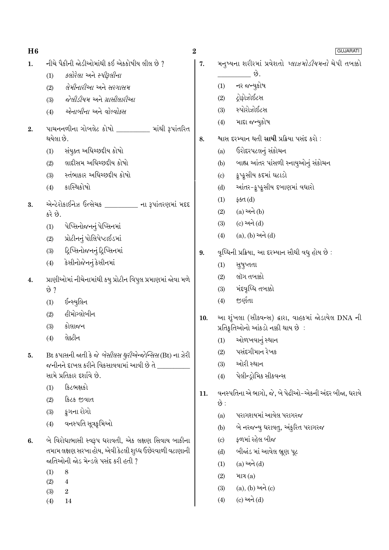| H6 |                                                                | $\bf{2}$ | <b>GUJARATI</b>                                            |
|----|----------------------------------------------------------------|----------|------------------------------------------------------------|
| 1. | નીચે પૈકીની જોડીઓમાંથી કઈ એકકોષીય લીલ છે ?                     | 7.       | મનુષ્યના શરીરમાં પ્રવેશતો <i>પ્લાઝમોડીયમનો</i> ચેપી તબક્કો |
|    | <i>કલોરેલા</i> અને સ્ <i>પીરૂલીના</i><br>(1)                   |          | છે.                                                        |
|    | <i>લેમીનારીઆ</i> અને <i>સરગાસમ</i><br>(2)                      |          | નર જન્યુકોષ<br>(1)                                         |
|    | જેલીડીયમ અને ગ્રાસીલારીઆ<br>(3)                                |          | દ્રોફોઝોઈટસ<br>(2)                                         |
|    | એનાબીના અને વોલ્વોક્સ<br>(4)                                   |          | સ્પોરોઝોઈટસ<br>(3)                                         |
| 2. | પાચનનળીના ગોબલેટ કોષો ________ માંથી રૂપાંતરિત                 |          | માદા જન્યુકોષ<br>(4)                                       |
|    | થયેલા છે.                                                      | 8.       | શ્વાસ દરમ્યાન થતી સાચી પ્રક્રિયા પસંદ કરો :                |
|    | સંયુક્ત અધિચ્છદીય કોષો<br>(1)                                  |          | ઉરોદરપટલનું સંકોચન<br>(a)                                  |
|    | લાદીસમ અધિચ્છદીય કોષો<br>(2)                                   |          | બાહ્ય આંતર પાંસળી સ્નાયુઓનું સંકોચન<br>(b)                 |
|    | સ્તંભાકાર અધિચ્છદીય કોષો<br>(3)                                |          | ક્રુપ્કુસીય કદમાં ઘટાડો<br>$\left( \mathrm{c}\right)$      |
|    | કાસ્થિકોષો<br>(4)                                              |          | આંતર-કુપ્કુસીય દબાણમાં વધારો<br>(d)                        |
| 3. | એન્ટેરોકાઈનેઝ ઉત્સેચક ________ ના રૂપાંતરણમાં મદદ              |          | ફક્ત $(d)$<br>(1)                                          |
|    | કરે છે.                                                        |          | $(a)$ અને $(b)$<br>(2)                                     |
|    | પેપ્સિનોજનનું પેપ્સિનમાં<br>(1)                                |          | $(c)$ અને $(d)$<br>(3)                                     |
|    | પ્રોટીનનું પોલિપેપ્ટાઈડમાં<br>(2)                              |          | $(a), (b)$ અને $(d)$<br>(4)                                |
|    | દ્રિપ્સિનોજનનું દ્રિપ્સિનમાં<br>(3)                            | 9.       | વૃધ્ધિની પ્રક્રિયા, આ દરમ્યાન સૌથી વધુ હોય છે :            |
|    | કેસીનોજેનનું કેસીનમાં<br>(4)                                   |          | સુષુપ્તતા<br>(1)                                           |
| 4. | પ્રાણીઓમાં નીચેનામાંથી કયુ પ્રોટીન વિપુલ પ્રમાણમાં જોવા મળે    |          | લૉગ તબક્કો<br>(2)                                          |
|    | છે ?                                                           |          | મંદવૃધ્ધિ તબક્કો<br>(3)                                    |
|    | ઈન્સ્યુલિન<br>(1)                                              |          | જીર્ણતા<br>(4)                                             |
|    | હીમોગ્લોબીન<br>(2)                                             | 10.      | આ શૃંખલા (સીક્વન્સ) દ્વારા, વાહકમાં જોડાયેલ DNA ની         |
|    | કોલાજન<br>(3)                                                  |          | પ્રતિકૃતિઓનો આંકડો નક્કી થાય છે :                          |
|    | લેક્ટીન<br>(4)                                                 |          | (1) ઓળખવાનું સ્થાન                                         |
| 5. | Bt કપાસની જાતી કે જે <i>બેસીલસ થુરીએન્જેન્સિસ</i> (Bt) ના ઝેરી |          | પસંદગીમાન રેખક<br>(2)                                      |
|    | જનીનને દાખલ કરીને વિકસાવવામાં આવી છે તે $\_$                   |          | ઓરી સ્થાન<br>(3)                                           |
|    | સામે પ્રતિકાર દર્શાવે છે.                                      |          | પેલીન્ડ્રોમિક સીકવન્સ<br>(4)                               |
|    | કિટભક્ષકો<br>(1)                                               |          | વનસ્પતિના એ ભાગો, જે, બે પેઢીઓ-એકની અંદર બીજા, ધરાવે       |
|    | કિટક જીવાત<br>(2)                                              | 11.      | છે :                                                       |
|    | કુગના રોગો<br>(3)                                              |          | પરાગશયમાં આવેલ પરાગરજ<br>(a)                               |
|    | વનસ્પતિ સૂત્રકૃમિઓ<br>(4)                                      |          | બે નરજન્યુ ધરાવતુ, અંકુરિત પરાગરજ<br>(b)                   |
| 6. | બે વિરોધાભાસી સ્વરૂપ ધરાવતી, એક લક્ષણ સિવાય બાકીના             |          | ફળમાં રહેલ બીજ<br>$\left( \mathrm{c}\right)$               |
|    | તમામ લક્ષણ સરખા હોય, એવી કેટલી શુધ્ધ ઉછેરવાળી વટાણાની          |          | બીજાંડ માં આવેલ ભ્રૂણ પૂટ<br>(d)                           |
|    | જાતિઓની જોડ મેન્ડલે પસંદ કરી હતી ?                             |          | $(a)$ અને $(d)$<br>(1)                                     |
|    | (1)<br>8                                                       |          | માત્ર $(a)$<br>(2)                                         |
|    | (2)<br>$\overline{4}$<br>(3)<br>$\,2$                          |          | (a), (b) અને (c)<br>(3)                                    |
|    | (4)<br>14                                                      |          | $(c)$ અને $(d)$<br>(4)                                     |
|    |                                                                |          |                                                            |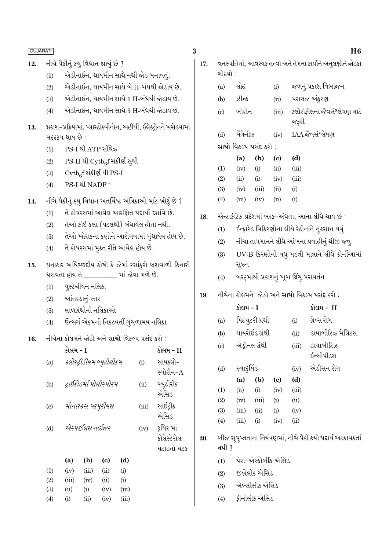- એડીનાઈન, થાયમીન સાથે નથી જોડ બનાવતું.  $(1)$
- એડીનાઈન, થાયમીન સાથે બે H-બંધથી જોડાય છે.  $(2)$
- એડીનાઈન, થાયમીન સાથે 1 H-બંધથી જોડાય છે.  $(3)$
- એડીનાઈન, થાયમીન સાથે 3 H-બંધથી જોડાય છે.  $(4)$
- પ્રકાશ-પ્રક્રિયામાં, પ્લાસ્ટોક્વીનોન, અહીંથી, ઈલેક્ટ્રોનને ખસેડવામાં 13. મદદરૂપ થાય છે :
	- PS-I થી ATP સીંથેઝ  $(1)$
	- PS-II થી Cytbef સંકીર્ણ સુધી  $(2)$
	- $\mathrm{Cytb}_6$ f સંકીર્ણ થી PS-I  $(3)$
	- PS-I थी NADP+  $(4)$
- નીચે પૈકીનું કયુ વિધાન અંતર્વિષ્ટ અંત્રિકાઓ માટે <mark>ખોટું</mark> છે ? 14.
	- તે કોષરસમાં આવેલ આરક્ષિત પદાર્થો દર્શાવે છે.  $(1)$
	- તેઓ કોઈ કલા (પટલથી) બંધાયેલ હોતા નથી.  $(2)$
	- તેઓ ખોરાકના કણોને આરોગવામાં ગુંથાયેલ હોય છે.  $(3)$
	- તે કોષરસમાં મુકત રીતે આવેલ હોય છે.  $(4)$
- ઘનાકાર અધિચ્છદીય કોષો કે જેમાં રસાંકુરો બ્રશવાળી કિનારી 15. ધરાવતા હોય તે \_\_\_\_\_\_\_\_\_ માં જોવા મળે છે.
	- યુસ્ટેચીયન નલિકા  $(1)$
	- આંતરડાનું સ્તર  $(2)$
	- લાળગ્રંથીની નલિકાઓ  $(3)$
	- ઉત્સર્ગ એકમની નિકટવર્તી ગુંચળામય નલિકા  $(4)$

#### નીચેના કોલમને જોડો અને સાચો વિકલ્પ પસંદ કરો: 16.

|                           | કાલમ - 1 |                           |      |           |           | કાલમ - 11   |
|---------------------------|----------|---------------------------|------|-----------|-----------|-------------|
| (a)                       |          | ક્લોસ્ટ્રીડીયમ બ્યુટીલીકમ |      | (i)       | સાયક્લો-  |             |
|                           |          |                           |      |           | સ્પોરીન-A |             |
| (b)                       |          | દ્રાઇકોડર્મા પોલીસ્પોરમ   | (ii) | બ્યુટીરીક |           |             |
|                           |          |                           |      |           |           | એસિડ        |
| $\left( \text{c} \right)$ |          | મોનાસ્કસ પર્પ્રુરીયસ      |      |           | (iii)     | સાઈટ્રીક    |
|                           |          |                           |      |           |           | એસિડ        |
| (d)                       |          | એસ્પર્જીલસ નાઈજર          |      |           | (iv)      | રૂધિર માં   |
|                           |          |                           |      |           |           | કોલેસ્ટેરોલ |
|                           |          |                           |      |           |           | ઘટાડતો ઘટક  |
|                           | (a)      | (b)                       | (c)  | (d)       |           |             |
| (1)                       | (iv)     | (iii)                     | (ii) | (i)       |           |             |
| (2)                       | (iii)    | (iv)                      | (ii) | (i)       |           |             |
| (3)                       | (ii)     | (i)                       | (iv) | (iii)     |           |             |
| (4)                       | (i)      | (i)                       | (iv) | (iii)     |           |             |

| 17. | વનસ્પતિમા, આવશ્યક તત્વા અને તેમના કાર્યાને અનુલક્ષાને જોડકા |                                              |                                                |                      |       |                                                              |  |  |  |  |  |
|-----|-------------------------------------------------------------|----------------------------------------------|------------------------------------------------|----------------------|-------|--------------------------------------------------------------|--|--|--|--|--|
|     | (a)                                                         | લોહ                                          |                                                | (i)                  |       | જળનું પ્રકાશ વિભાજન                                          |  |  |  |  |  |
|     |                                                             | $(b)$ $3 - 5$                                |                                                | (ii)                 |       | પરાગજ અંકુરણ                                                 |  |  |  |  |  |
|     | $\left( \mathrm{c}\right)$                                  | બોરોન                                        |                                                | (iii)                | જરૂરી | ક્લોરોફીલના જેવસંશ્લેષણ માટે                                 |  |  |  |  |  |
|     | (d)                                                         | મેંગેનીઝ                                     |                                                | (iv)                 |       | IAA જૈવસંશ્લેષણ                                              |  |  |  |  |  |
|     |                                                             | સાચો વિકલ્પ પસંદ કરો :                       |                                                |                      |       |                                                              |  |  |  |  |  |
|     |                                                             | (a)                                          | (b)                                            | (c)                  | (d)   |                                                              |  |  |  |  |  |
|     | (1)                                                         | (iv)                                         | (i)                                            | (ii)                 | (iii) |                                                              |  |  |  |  |  |
|     | (2)                                                         | (ii)                                         | (i)                                            | (iv)                 | (iii) |                                                              |  |  |  |  |  |
|     | (3)                                                         | (iv)                                         | (iii)                                          | (ii)                 | (i)   |                                                              |  |  |  |  |  |
|     | (4)                                                         | (iii)                                        | (iv)                                           | (ii)                 | (i)   |                                                              |  |  |  |  |  |
| 18. |                                                             |                                              |                                                |                      |       | એન્ટાર્કટિક પ્રદેશમાં બરફ-અંધતા, આના લીધે થાય છે :           |  |  |  |  |  |
|     | (1)                                                         |                                              |                                                |                      |       | ઈન્ફ્રારેડ વિકિરણોના લીધે રેટીનાને નુકસાન થવું               |  |  |  |  |  |
|     | (2)                                                         |                                              |                                                |                      |       | નીચા તાપમાનને લીધે આંખના પ્રવાહીનું થીજી જવુ                 |  |  |  |  |  |
|     | (3)                                                         |                                              | UV-B કિરણોની વધુ પડતી માત્રાને લીધે કોર્નીઆમાં |                      |       |                                                              |  |  |  |  |  |
|     | (4)                                                         | સૂઝન<br>બરફમાંથી પ્રકાશનું ખૂબ ઊંચુ પરાવર્તન |                                                |                      |       |                                                              |  |  |  |  |  |
| 19. | નીચેના કોલમને  જોડો અને સાચો વિકલ્પ પસંદ કરો :              |                                              |                                                |                      |       |                                                              |  |  |  |  |  |
|     |                                                             | કોલમ - I                                     |                                                |                      |       | કોલમ -  II                                                   |  |  |  |  |  |
|     | (a)                                                         |                                              | પિટચુટરી ગ્રંથી                                |                      | (i)   | ગ્રેવ્સ રોગ                                                  |  |  |  |  |  |
|     |                                                             |                                              |                                                |                      |       |                                                              |  |  |  |  |  |
|     | (b)                                                         |                                              | થાયરોઈડ ગ્રંથી                                 |                      | (ii)  | ડાયાબીટિઝ મેલિટસ                                             |  |  |  |  |  |
|     | $\left( c\right)$                                           |                                              | એડ્રીનલ ગ્રંથી                                 |                      | (iii) | ડાયાબીટિઝ<br>ઈન્સીપીડસ                                       |  |  |  |  |  |
|     | (d)                                                         |                                              |                                                |                      | (iv)  | એડીસન રોગ                                                    |  |  |  |  |  |
|     |                                                             | સ્વાદુર્પિડ<br>(a)                           | (b)                                            | (c)                  | (d)   |                                                              |  |  |  |  |  |
|     | (1)                                                         | (ii)                                         | (i)                                            | (iv)                 | (iii) |                                                              |  |  |  |  |  |
|     | (2)                                                         |                                              | $(iv)$ $(iii)$                                 | (i)                  | (ii)  |                                                              |  |  |  |  |  |
|     | (3)                                                         | $(iii)$ $(ii)$                               |                                                | (i)                  | (iv)  |                                                              |  |  |  |  |  |
|     | (4)                                                         | (iii)                                        | (i)                                            | (iv)                 | (ii)  |                                                              |  |  |  |  |  |
| 20. | નથી ?                                                       |                                              |                                                |                      |       | બીજ સુષુપ્તતાના નિયંત્રણમાં, નીચે પૈકી કયો પદાર્થ અટકાવકર્તા |  |  |  |  |  |
|     | (1)                                                         |                                              |                                                | પેરા-એસ્કોર્બીક એસિડ |       |                                                              |  |  |  |  |  |
|     | (2)                                                         |                                              | જીબ્રેલીક એસિડ                                 |                      |       |                                                              |  |  |  |  |  |
|     | (3)                                                         |                                              | એબ્સીસીક એસિડ                                  |                      |       |                                                              |  |  |  |  |  |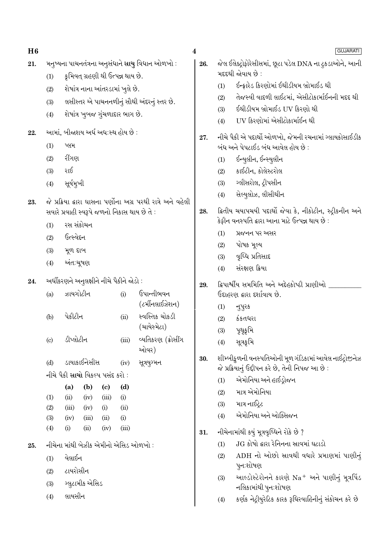| H6  |            |                                                      |               |                                   |                 |                                                              | $\overline{\mathbf{4}}$ |                                                                                                            | <b>GUJARATI</b>                                                                                            |  |  |  |
|-----|------------|------------------------------------------------------|---------------|-----------------------------------|-----------------|--------------------------------------------------------------|-------------------------|------------------------------------------------------------------------------------------------------------|------------------------------------------------------------------------------------------------------------|--|--|--|
| 21. |            |                                                      |               |                                   |                 | મનુષ્યના પાચનતંત્રના અનુસંધાને સાચુ વિધાન ઓળખો :             | 26.                     | જેલ ઈલેક્ટ્રોફોરેસીસમાં, છૂટા પડેલ DNA ના ટુકડાઓને, આની<br>મદદથી જોવાય છે :                                |                                                                                                            |  |  |  |
|     | (1)        |                                                      |               | કૃમિવત્ ગ્રહણી થી ઉત્પન્ન થાય છે. |                 |                                                              |                         | (1)                                                                                                        | ઈન્ફ્રારેડ કિરણોમાં ઈથીડીયમ બ્રોમાઈડ થી                                                                    |  |  |  |
|     | (2)        |                                                      |               | શેષાંત્ર નાના આંતરડામાં ખુલે છે.  |                 |                                                              |                         | (2)                                                                                                        | તેજસ્વી વાદળી લાઈટમાં, એસીટોકાર્માઈનની મદદ થી                                                              |  |  |  |
|     | (3)        |                                                      |               |                                   |                 | લસીસ્તર એ પાચનનળીનું સૌથી અંદરનું સ્તર છે.                   |                         | (3)                                                                                                        | ઈથીડીયમ બ્રોમાઈડ UV કિરણો થી                                                                               |  |  |  |
|     | (4)        |                                                      |               | શેષાંત્ર ખુબજ ગુંચળાદાર ભાગ છે.   |                 |                                                              |                         | (4)                                                                                                        | UV કિરણોમાં એસીટોકાર્માઈન થી                                                                               |  |  |  |
| 22. |            | આમાં, બીજાશય અર્ધ અધ:સ્થ હોય છે :                    |               |                                   |                 |                                                              | 27.                     |                                                                                                            | નીચે પૈકી એ પદાર્થો ઓળખો, જેમની રચનામાં ગ્લાયકોસાઈડીક                                                      |  |  |  |
|     | (1)        | પ્લમ                                                 |               |                                   |                 |                                                              |                         |                                                                                                            | બંધ અને પેપટાઈડ બંધ આવેલ હોય છે :                                                                          |  |  |  |
|     | (2)        | રીંગણ                                                |               |                                   |                 |                                                              |                         | (1)                                                                                                        | ઈન્યુલીન, ઈન્સ્યુલીન                                                                                       |  |  |  |
|     | (3)        | રાઈ                                                  |               |                                   |                 |                                                              |                         | (2)                                                                                                        | કાઈટીન, કોલેસ્ટરોલ                                                                                         |  |  |  |
|     | (4)        | સૂર્યમુખી                                            |               |                                   |                 |                                                              |                         | (3)                                                                                                        | ગ્લીસરોલ, ટ્રીપસીન                                                                                         |  |  |  |
|     |            |                                                      |               |                                   |                 | જે પ્રક્રિયા દ્વારા ઘાસના પર્ણોના અગ્ર પરથી રાત્રે અને વહેલી |                         | (4)                                                                                                        | સેલ્યુલોઝ, લીસીથીન                                                                                         |  |  |  |
| 23. |            |                                                      |               |                                   |                 | સવારે પ્રવાહી સ્વરૂપે જળનો નિકાસ થાય છે તે :                 | 28.                     |                                                                                                            | ક્રિતીય ચયાપચયી પદાર્થો જેવા કે, નીકોટીન, સ્ટ્રીકનીન અને<br>કેફીન વનસ્પતિ દ્વારા આના માટે ઉત્પન્ન થાય છે : |  |  |  |
|     | (1)        |                                                      | રસ સંકોચન     |                                   |                 |                                                              |                         | પ્રજનન પર અસર<br>(1)                                                                                       |                                                                                                            |  |  |  |
|     | (2)        | ઉત્સ્વેદન                                            |               |                                   |                 |                                                              |                         | (2)                                                                                                        | પોષક મૂલ્ય                                                                                                 |  |  |  |
|     | (3)        | મૂળ દાબ                                              |               |                                   |                 |                                                              |                         | (3)                                                                                                        | વૃધ્ધિ પ્રતિસાદ                                                                                            |  |  |  |
|     | (4)        | અંત:ચૂષણ                                             |               |                                   |                 |                                                              |                         | (4)                                                                                                        | સંરક્ષણ ક્રિયા                                                                                             |  |  |  |
|     |            |                                                      |               |                                   |                 |                                                              |                         |                                                                                                            |                                                                                                            |  |  |  |
| 24. | (a)        | અર્ધીકરણને અનુલક્ષીને નીચે પૈકીને જોડો :<br>ઝાયગોટીન |               |                                   | (i)             | ઉપાન્તીભવન                                                   | 29.                     |                                                                                                            | દ્વિપાર્શ્વીય સમમિતિ અને અદ્દેહકોષ્ઠી પ્રાણીઓ _<br>ઉદાહરણ દ્વારા દર્શાવાય છે.                              |  |  |  |
|     |            |                                                      |               |                                   | (ટર્મીનલાઈઝેશન) |                                                              | (1)                     |                                                                                                            |                                                                                                            |  |  |  |
|     | (b)        | પેકીટીન                                              |               |                                   | (ii)            | સ્વસ્તિક ચોકડી                                               |                         | (2)                                                                                                        | નુપુરક<br>કંકતધરા                                                                                          |  |  |  |
|     |            |                                                      |               |                                   |                 | (ચાયેસ્મેટા)                                                 |                         | (3)                                                                                                        | પૃથૃકૃમિ                                                                                                   |  |  |  |
|     | (c)        | ડીપ્લોટીન                                            |               |                                   | (iii)           | વ્યતિકરણ (ક્રોસીંગ                                           |                         | (4)                                                                                                        | સૂત્રકૃમિ                                                                                                  |  |  |  |
|     |            |                                                      |               |                                   |                 | ઓવર)                                                         |                         |                                                                                                            |                                                                                                            |  |  |  |
|     | (d)        |                                                      | ડાયાકાઈનેસીસ  |                                   | (iv)            | સૂત્રયુગ્મન                                                  | 30.                     | શીમ્બીકુળની વનસ્પતિઓની મૂળ ગંડિકામાં આવેલ નાઈટ્રોજીનેઝ<br>જે પ્રક્રિયાનું ઉદ્દીપન કરે છે, તેની નિપજ આ છે : |                                                                                                            |  |  |  |
|     |            | નીચે પૈકી સાચો વિકલ્પ પસંદ કરો :                     |               |                                   |                 |                                                              |                         | (1)                                                                                                        | એમોનિયા અને હાઈડ્રોજન                                                                                      |  |  |  |
|     |            | (a)                                                  | (b)           | $\left( \mathrm{e}\right)$        | (d)             |                                                              |                         | (2)                                                                                                        | માત્ર એમોનિયા                                                                                              |  |  |  |
|     | (1)        | (ii)                                                 | (iv)          | (iii)                             | (i)             |                                                              |                         | (3)                                                                                                        | માત્ર નાઈટ્રેટ                                                                                             |  |  |  |
|     | (2)<br>(3) | (iii)<br>(iv)                                        | (iv)<br>(iii) | (i)<br>(ii)                       | (ii)<br>(i)     |                                                              |                         | (4)                                                                                                        | એમોનિયા અને ઓક્સિજન                                                                                        |  |  |  |
|     | (4)        | (i)                                                  | (ii)          | (iv)                              | (iii)           |                                                              | 31.                     |                                                                                                            | નીચેનામાંથી કયું મૂત્રવૃધ્ધિને રોકે છે ?                                                                   |  |  |  |
|     |            |                                                      |               |                                   |                 | નીચેના માંથી બેઝીક એમીનો એસિડ ઓળખો :                         |                         | (1)                                                                                                        | JG કોષો દ્વારા રેનિનના સ્રાવમાં ઘટાડો                                                                      |  |  |  |
| 25. |            |                                                      |               |                                   |                 |                                                              |                         | (2)                                                                                                        | ADH નો ઓછો સ્રાવથી વધારે પ્રમાણમાં પાણીનું                                                                 |  |  |  |
|     | (1)        | વેલાઈન                                               |               |                                   |                 |                                                              |                         |                                                                                                            | પુનઃશોષણ                                                                                                   |  |  |  |
|     | (2)        | ટાયરોસીન                                             |               |                                   |                 |                                                              |                         | (3)                                                                                                        | આલ્ડોસ્ટેરોનને કારણે Na <sup>+</sup> અને પાણીનું મૂત્રપિંડ                                                 |  |  |  |
|     | (3)        | ગ્લુટામીક એસિડ                                       |               |                                   |                 |                                                              |                         |                                                                                                            | નલિકામાંથી પુન∶શોષણ                                                                                        |  |  |  |
|     | (4)        | લાયસીન                                               |               |                                   |                 |                                                              |                         | (4)                                                                                                        | કર્ણક નેદ્રીયુરેટિક કારક રૂધિરવાહિનીનું સંકોચન કરે છે                                                      |  |  |  |
|     |            |                                                      |               |                                   |                 |                                                              |                         |                                                                                                            |                                                                                                            |  |  |  |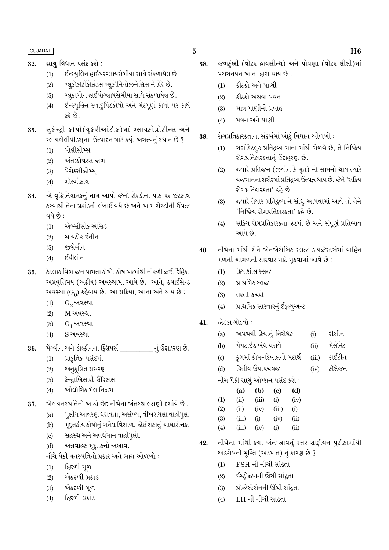- સાચ વિધાન પસંદ કરો : 32.
	- $(1)$ ઈન્સ્યુલિન હાઈપરગ્લાયસેમીયા સાથે સંકળાયેલ છે.
	- ગ્લુકોકોર્ટીકોઈડસ ગ્લુકોનિયોજીનેસિસ ને પ્રેરે છે.  $(2)$
	- ગ્લુકાગોન હાઈપોગ્લાયસેમીયા સાથે સંકળાયેલ છે.  $(3)$
	- ઈન્સ્યુલિન સ્વાદુપિંડકોષો અને મંદપૂર્ણ કોષો પર કાર્ય  $(4)$ કરે છે.
- સુકેન્દ્રી કોષો(યુકેરીઓટીક)માં ગ્લાયકોપ્રોટીન્સ અને 33. ગ્લાયકોલીપીડસના ઉત્પાદન માટે કયું, અગત્યનું સ્થાન છે ?
	- પોલીસોમ્સ  $(1)$
	- અંત:કોષરસ જાળ  $(2)$
	- પેરોક્સીઝોમ્સ  $(3)$
	- $(4)$ ગોલ્ગીકાય
- એ વૃદ્ધિનિયામકનું નામ આપો જેનો શેરડીના પાક પર છંટકાવ 34. કરવાથી તેના પ્રકાંડની લંબાઈ વધે છે અને આમ શેરડીની ઉપજ વધે છે $\cdot$ 
	- એબ્સીસીક એસિડ  $(1)$
	- સાયટોકાઈનીન  $(2)$
	- જબેલીન  $(3)$
	- ઈથીલીન  $(4)$
- કેટલાક વિભાજન પામતા કોષો, કોષ ચક્રમાંથી નીકળી જઈ, દૈહિક, 35. અપ્રવૃત્તિમય (અક્રીય) અવસ્થામાં આવે છે. આને, કવાઈસેન્ટ અવસ્થા ( $G_0$ ) કહેવાય છે. આ પ્રક્રિયા, આના અંતે થાય છે :
	- $(1)$  $G_2$  અવસ્થા
	- $(2)$ M અવસ્થા
	- $G_1$  અવસ્થા  $(3)$
	- $S$  અવસ્થા  $(4)$
- પેંગ્વીન અને ડોલ્ફીનના ફ્લિપર્સ નું ઉદાહરણ છે. 36.
	- પ્રાકૃતિક પસંદગી  $(1)$
	- અનૂકૂલિત પ્રસરણ  $(2)$
	- કેન્દાભિસારી ઉદ્વિકાસ  $(3)$
	- ઔદ્યોગિક મેલાનિઝમ  $(4)$

એક વનસ્પતિનો આડો છેદ નીચેના અંતસ્થ લક્ષણો દર્શાવે છે : 37.

- પૂલીય આવરણ ધરાવતા, અસંખ્ય, વીખરાયેલા વાહીપૂલ.  $(a)$
- મુદ્દતકીય કોષોનું બનેલ વિશાળ, જોઈ શકાતું આધારોત્તક.  $(b)$
- સહસ્થ અને અવર્ધમાન વાહીપુલો.  $(c)$
- અન્નવાહક મૃદ્દતકનો અભાવ.  $(d)$
- નીચે પૈકી વનસ્પતિનો પ્રકાર અને ભાગ ઓળખો :
- દ્વિદળી મૂળ  $(1)$
- એકદળી પ્રકાંડ  $(2)$
- એકદળી મૂળ  $(3)$
- ક્રિદળી પ્રકાંડ  $(4)$
- જળકુંભી (વોટર હાયસીન્થ) અને પોયણા (વોટર લીલી)માં 38. પરાગનયન આના દ્વારા થાય છે :
	- કીટકો અને પાણી  $(1)$
	- કીટકો અથવા પવન  $(2)$
	- માત્ર પાણીનો પ્રવાહ  $(3)$
	- પવન અને પાણી  $(4)$
- રોગપ્રતિકારકતાના સંદર્ભમાં ખોટું વિધાન ઓળખો : 39.
	- ગર્ભ કેટલુક પ્રતિદ્રવ્ય માતા માંથી મેળવે છે, તે નિષ્ક્રિય  $(1)$ રોગપ્રતિકારકતાનું ઉદાહરણ છે.
	- જ્યારે પ્રતિજન (જીવીત કે મૃત) નો સામનો થાય ત્યારે  $(2)$ યજમાનના શરીરમાં પ્રતિદ્રવ્ય ઉત્પન્ન થાય છે. જેને 'સક્રિય રોગપ્રતિકારકતા' કહે છે.
	- જ્યારે તૈયાર પ્રતિદ્રવ્ય ને સીધુ આપવામાં આવે તો તેને  $(3)$ 'નિષ્ક્રિય રોગપ્રતિકારકતા' કહે છે.
	- સક્રિય રોગપ્રતિકારકતા ઝડપી છે અને સંપૂર્ણ પ્રતિભાવ  $(4)$ આપે છે.
- નીચેના માંથી શેને એનએરોબિક સ્લજ ડાયજેસ્ટર્સમાં વાહિન  $40.$ મળની આગળની સારવાર માટે મૂકવામાં આવે છે :
	- ક્રિયાશીલ સ્લજ  $(1)$
	- પ્રાથમિક સ્લજ  $(2)$
	- તરતો કચરો  $(3)$
	- પ્રાથમિક સારવારનું ઈફ્લ્યુઅન્ટ  $(4)$
- જોડકા ગોઠવો : 41.

| અપચયી ક્રિયાનું નિરોધક<br>(a) | (i) | રીસીન |
|-------------------------------|-----|-------|
|-------------------------------|-----|-------|

- પેપટાઈડ બંધ ધરાવે મેલોનેટ  $(b)$  $(ii)$
- ફુગમાં કોષ-દિવાલનો પદાર્થ કાઈટીન  $\left( \mathrm{c} \right)$  $(iii)$
- ક્રિતીય ઉપાપચયજ કૉલેજન  $(d)$  $(iv)$
- નીચે પૈકી સાચું ઓપ્શન પસંદ કરો :

|                   | (a)   | (b)   | (c)       | (d)            |
|-------------------|-------|-------|-----------|----------------|
| $\left( 1\right)$ | (ii)  | (iii) | (i)       | (iv)           |
| (2)               | (ii)  | (iv)  | (iii)     | (i)            |
| (3)               | (iii) | (i)   | (iv)      | (ii)           |
| (4)               | (iii) | (iv)  | $\rm (i)$ | $\overline{u}$ |

- નીચેના માંથી કયા અંતઃસ્રાવનું સ્તર ગ્રાફીયન પુટીકામાંથી 42. અંડકોષની મુક્તિ (અંડપાત) નું કારણ છે ?
	- FSH ની નીચી સાંદ્રતા  $(1)$
	- ઈસ્ટોજનની ઊંચી સાંઢતા  $(2)$
	- પ્રોજેસ્ટેરોનની ઊંચી સાંદ્રતા  $(3)$
	- LH ની નીચી સાંદ્રતા  $(4)$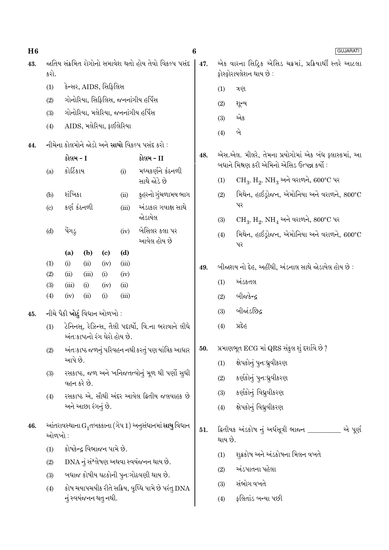| H6  |                                                               |               |                    |                                     |              |                                                                    | $\bf{6}$<br><b>GUJARATI</b> |                                                                                   |                                                                   |  |  |  |
|-----|---------------------------------------------------------------|---------------|--------------------|-------------------------------------|--------------|--------------------------------------------------------------------|-----------------------------|-----------------------------------------------------------------------------------|-------------------------------------------------------------------|--|--|--|
| 43. | જાતિય સંક્રમિત રોગોનો સમાવેશ થતો હોય તેવો વિકલ્પ પસંદ<br>કરો. |               |                    |                                     |              |                                                                    |                             | એક વારના સિદ્રિક એસિડ ચક્રમાં, પ્રક્રિયાર્થી સ્તરે આટલા<br>ફોસ્ફોરાયલેશન થાય છે : |                                                                   |  |  |  |
|     | (1)                                                           |               |                    | કેન્સર, AIDS, સિફિલિસ               |              |                                                                    |                             | (1)                                                                               | ત્રણ                                                              |  |  |  |
|     | (2)                                                           |               |                    |                                     |              | ગોનોરિયા, સિફિલિસ, જનનાંગીય હર્પિસ                                 |                             | (2)                                                                               | શૂન્ય                                                             |  |  |  |
|     | (3)                                                           |               |                    |                                     |              | ગોનોરિયા, મલેરિયા, જનનાંગીય હર્પિસ                                 |                             | (3)                                                                               | એક                                                                |  |  |  |
|     | (4)                                                           |               |                    | AIDS, મલેરિયા, ફાઈલેરિયા            |              |                                                                    |                             | (4)                                                                               | બે                                                                |  |  |  |
| 44. |                                                               |               |                    |                                     |              | નીચેના કોલમોને જોડો અને સાચો વિકલ્પ પસંદ કરો :                     |                             |                                                                                   |                                                                   |  |  |  |
|     |                                                               | કોલમ - I      |                    |                                     |              | કોલમ - II                                                          | 48.                         |                                                                                   | એસ.એલ. મીલરે, તેમના પ્રયોગોમાં એક બંધ ફ્લાસ્કમાં, આ               |  |  |  |
|     | (a)                                                           | કોર્ટિકાય     |                    |                                     | (i)          | મધ્યકર્ણને કંઠનળી                                                  |                             |                                                                                   | બધાને મિશ્રણ કરી એમિનો એસિડ ઉત્પન્ન કર્યો :                       |  |  |  |
|     |                                                               |               |                    |                                     |              | સાથે જોડે છે                                                       |                             | (1)                                                                               | $CH_3$ , $H_2$ , $NH_3$ અને વરાળને, 600°C પર                      |  |  |  |
|     | (b)                                                           | શંખિકા        |                    |                                     | (ii)         | કુહરનો ગુંચળામય ભાગ                                                |                             | (2)                                                                               | મિથેન, હાઈડ્રોજન, એમોનિયા અને વરાળને, 800°C                       |  |  |  |
|     | (c)                                                           |               | કર્ણ કંઠનળી        |                                     | (iii)        | અંડાકાર ગવાક્ષ સાથે                                                |                             |                                                                                   | પર                                                                |  |  |  |
|     |                                                               |               |                    |                                     |              | જોડાયેલ                                                            |                             | (3)                                                                               | $CH_3$ , $H_2$ , $NH_4$ અને વરાળને, $800^{\circ}$ C પર            |  |  |  |
|     | (d)                                                           | પેંગડ્        |                    |                                     | (iv)         | બેસિલર કલા પર<br>આવેલ હોય છે                                       |                             | (4)                                                                               | મિથેન, હાઈડ્રોજન, એમોનિયા અને વરાળને, $600^{\circ}\text{C}$<br>પર |  |  |  |
|     |                                                               | (a)           | (b)                | $\left( \mathbf{c} \right)$         | (d)          |                                                                    |                             |                                                                                   |                                                                   |  |  |  |
|     | (1)                                                           | (i)           | (ii)               | (iv)                                | (iii)        |                                                                    | 49.                         |                                                                                   | બીજાશય નો દેહ, અહીંથી, અંડનાલ સાથે જોડાયેલ હોય છે :               |  |  |  |
|     | (2)<br>(3)                                                    | (ii)<br>(iii) | (iii)<br>(i)       | (i)<br>(iv)                         | (iv)<br>(ii) |                                                                    |                             | (1)                                                                               | અંડકતલ                                                            |  |  |  |
|     | (4)                                                           | (iv)          | (ii)               | (i)                                 | (iii)        |                                                                    |                             | (2)                                                                               | બીજકેન્દ્ર                                                        |  |  |  |
| 45. |                                                               |               |                    | નીચે પૈકી <b>ખોટું</b> વિધાન ઓળખો : |              |                                                                    |                             | (3)                                                                               | બીજાંડછિદ્ર                                                       |  |  |  |
|     | (1)                                                           |               |                    | અંતઃકાષ્ઠનો રંગ ઘેરો હોય છે.        |              | ટેનિનસ્, રેઝિન્સ, તૈલી પદાર્થો, વિ.ના ભરાવાને લીધે                 |                             | (4)                                                                               | પ્રદેહ                                                            |  |  |  |
|     | (2)                                                           |               |                    |                                     |              | અંતઃકાષ્ઠ જળનું પરિવહન નથી કરતું પણ યાંત્રિક આધાર                  | 50.                         |                                                                                   | પ્રમાણભૂત ECG માં QRS સંકુલ શું દર્શાવે છે ?                      |  |  |  |
|     |                                                               | આપે છે.       |                    |                                     |              |                                                                    |                             | (1)                                                                               | ક્ષેપકોનું પુન:ધ્રુવીકરણ                                          |  |  |  |
|     | (3)                                                           |               |                    |                                     |              | રસકાષ્ઠ, જળ અને ખનિજતત્વોનું મૂળ થી પર્ણો સુધી                     |                             | (2)                                                                               | કર્ણકોનું પુન:ધ્રુવીકરણ                                           |  |  |  |
|     |                                                               |               | વહન કરે છે.        |                                     |              |                                                                    |                             | (3)                                                                               | કર્ણકોનું વિધ્રુવીકરણ                                             |  |  |  |
|     | (4)                                                           |               | અને આછા રંગનું છે. |                                     |              | રસકાષ્ઠ એ, સૌથી અંદર આવેલ દ્વિતીય જલવાહક છે                        |                             | (4)                                                                               | ક્ષેપકોનું વિધ્રુવીકરણ                                            |  |  |  |
|     |                                                               |               |                    |                                     |              |                                                                    |                             |                                                                                   |                                                                   |  |  |  |
| 46. | ઓળખો :                                                        |               |                    |                                     |              | આંતરાવસ્થાના $\mathrm{G}_1$ તબકકાના (ગેપ 1) અનુસંધાનમાં સાચુ વિધાન | 51.                         | થાય છે.                                                                           | ક્ષિતીયક અંડકોષ નું અર્ધસૂત્રી ભાજન _________<br>એ પૂર્ણ          |  |  |  |
|     | (1)                                                           |               |                    | કોષકેન્દ્ર વિભાજન પામે છે.          |              |                                                                    |                             | (1)                                                                               | શુક્રકોષ અને અંડકોષના મિલન વખતે                                   |  |  |  |
|     | (2)                                                           |               |                    |                                     |              | DNA નું સંશ્લેષણ અથવા સ્વયંજનન થાય છે.                             |                             | (2)                                                                               | અંડપાતના પહેલા                                                    |  |  |  |
|     | (3)                                                           |               |                    |                                     |              | બધાજ કોષીય ઘટકોની પુનઃગોઠવણી થાય છે.                               |                             |                                                                                   | સંભોગ વખતે                                                        |  |  |  |
|     | (4)                                                           |               |                    |                                     |              | કોષ ચયાપચયીક રીતે સક્રિય, વૃધ્ધિ પામે છે પરંતુ DNA                 |                             | (3)                                                                               |                                                                   |  |  |  |
|     |                                                               |               |                    | નું સ્વયંજનન થતુ નથી.               |              |                                                                    |                             | (4)                                                                               | ફલિતાંડ બન્યા પછી                                                 |  |  |  |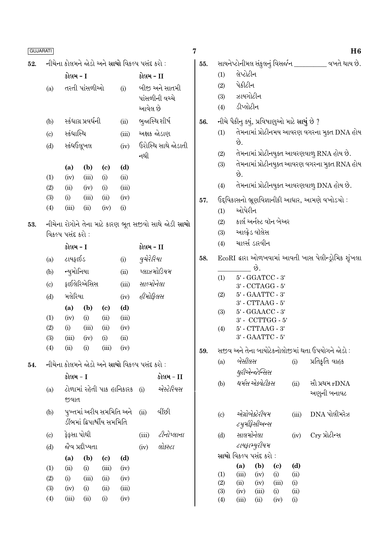| <b>GUJARATI</b> |                             |                                               |                              |                            |                                                            |            |                                                              | 7                                          |                                                           |                                               |                          |                                   |                | H6                                                |
|-----------------|-----------------------------|-----------------------------------------------|------------------------------|----------------------------|------------------------------------------------------------|------------|--------------------------------------------------------------|--------------------------------------------|-----------------------------------------------------------|-----------------------------------------------|--------------------------|-----------------------------------|----------------|---------------------------------------------------|
| 52.             |                             | નીચેના કોલમને જોડો અને સાચો વિકલ્પ પસંદ કરો : |                              |                            |                                                            |            |                                                              |                                            | સાયનેપ્ટોનીમલ સંકુલનું વિસર્જન __________ વખતે થાય છે.    |                                               |                          |                                   |                |                                                   |
|                 | કોલમ - I                    |                                               |                              |                            | કોલમ - II                                                  |            |                                                              | (1)                                        | લેપ્ટોટીન                                                 |                                               |                          |                                   |                |                                                   |
|                 | (a)                         |                                               | તરતી પાંસળીઓ                 |                            | (i)                                                        |            | બીજી અને સાતમી                                               |                                            | (2)                                                       | પેકીટીન                                       |                          |                                   |                |                                                   |
|                 |                             |                                               |                              |                            |                                                            |            | પાંસળીની વચ્ચે                                               |                                            | (3)                                                       | ઝાયગોટીન                                      |                          |                                   |                |                                                   |
|                 |                             |                                               |                              |                            |                                                            | આવેલ છે    |                                                              |                                            | (4)                                                       | ડીપ્લોટીન                                     |                          |                                   |                |                                                   |
|                 | (b)                         |                                               | સ્કંધાગ્ર પ્રવર્ધની          |                            | (ii)                                                       |            | ભુજાસ્થિ શીર્ષ                                               | 56.                                        |                                                           | નીચે પૈકીનુ ક્યું, પ્રવિષાણુઓ માટે સાચું છે ? |                          |                                   |                |                                                   |
|                 | $\left( \mathrm{c}\right)$  | સ્કંધાસ્થિ                                    |                              |                            | (iii)                                                      |            | અક્ષક જોડાણ                                                  |                                            | (1)                                                       |                                               |                          |                                   |                | તેમનામાં પ્રોટીનમય આવરણ વગરના મુક્ત DNA હોય       |
|                 | (d)                         | સ્કંધઉલૂખલ                                    |                              |                            | (iv)                                                       |            | ઉરોસ્થિ સાથે જોડાતી                                          |                                            |                                                           | છે.                                           |                          |                                   |                |                                                   |
|                 |                             |                                               |                              |                            |                                                            | નથી        |                                                              |                                            | (2)                                                       |                                               |                          |                                   |                | તેમનામાં પ્રોટીનયુક્ત આવરણવાળુ RNA હોય છે.        |
|                 |                             | (a)                                           | (b)                          | $\left( \mathrm{c}\right)$ | (d)                                                        |            |                                                              |                                            | (3)                                                       |                                               |                          |                                   |                | તેમનામાં પ્રોટીનયુક્ત આવરણ વગરના મુક્ત RNA હોય    |
|                 | (1)                         | (iv)                                          | (iii)                        | (i)                        | (ii)                                                       |            |                                                              |                                            |                                                           | છે.                                           |                          |                                   |                |                                                   |
|                 | (2)                         | (ii)                                          | (iv)                         | (i)                        | (iii)                                                      |            |                                                              |                                            | (4)                                                       |                                               |                          |                                   |                | તેમનામાં પ્રોટીનયુક્ત આવરણવાળુ DNA હોય છે.        |
|                 | (3)                         | (i)                                           | (iii)                        | (ii)                       | (iv)                                                       |            |                                                              | 57.                                        |                                                           |                                               |                          |                                   |                | ઉદ્દવિકાસનો ભ્રૂણવિજ્ઞાનીકી આધાર, આમણે વખોડચો :   |
|                 | (4)                         | (iii)                                         | (ii)                         | (iv)                       | (i)                                                        |            |                                                              |                                            | (1)                                                       | ઓપેરીન                                        |                          |                                   |                |                                                   |
| 53.             |                             |                                               |                              |                            |                                                            |            | નીચેના રોગોને તેના માટે કારણ ભૂત સજીવો સાથે જોડી <b>સાચો</b> |                                            | (2)                                                       |                                               |                          | કાર્લ અર્નસ્ટ વૉન બેઅર            |                |                                                   |
|                 |                             | વિકલ્પ પસંદ કરો:                              |                              |                            |                                                            |            |                                                              |                                            | (3)                                                       |                                               | આલ્ફ્રેડ વૉલેસ           |                                   |                |                                                   |
|                 |                             | કોલમ - I                                      |                              |                            | કોલમ - II                                                  |            |                                                              | (4)                                        |                                                           | ચાર્લ્સ ડારવીન                                |                          |                                   |                |                                                   |
|                 | (a)                         | ટાયફાઈડ                                       |                              |                            | (i)                                                        | વુચેરેરિયા |                                                              | 58.                                        | EcoRI દ્વારા ઓળખવામાં આવતી ખાસ પેલીન્ડ્રોમિક શૃંખલા       |                                               |                          |                                   |                |                                                   |
|                 | (b)                         | ન્યુમોનિયા                                    |                              |                            | (ii)                                                       |            | પ્લાઝમોડિયમ                                                  |                                            | (1)                                                       |                                               | છે.                      |                                   |                |                                                   |
|                 | $\left( \mathrm{c} \right)$ |                                               | ફાઈલેરિએસિસ                  |                            | (iii)                                                      | સાલ્મોનેલા |                                                              |                                            | $5'$ - $GGATCC$ - $3'$<br>$3'$ - $\mathrm{CCTAGG}$ - $5'$ |                                               |                          |                                   |                |                                                   |
|                 | (d)                         | મલેરિયા                                       |                              |                            | (iv)                                                       | હીમોફિલસ   |                                                              |                                            | $5'$ - $\text{GAATTC}$ - $3'$<br>(2)                      |                                               |                          |                                   |                |                                                   |
|                 |                             | (a)                                           | (b)                          | $\left( \mathrm{c}\right)$ | (d)                                                        |            |                                                              | $3'$ - $CTTAAG$ - $5'$<br>5' - GGAACC - 3' |                                                           |                                               |                          |                                   |                |                                                   |
|                 | (1)                         | (iv)                                          | (i)                          | (ii)                       | (iii)                                                      |            |                                                              |                                            | (3)                                                       |                                               |                          | 3' - CCTTGG - 5'                  |                |                                                   |
|                 | (2)                         | (i)                                           | (iii)                        | (ii)                       | (iv)                                                       |            |                                                              |                                            | (4)                                                       |                                               | $5'$ - $CTTAAG - 3'$     |                                   |                |                                                   |
|                 | (3)                         | (iii)                                         | (iv)                         | (i)                        | (ii)                                                       |            |                                                              |                                            |                                                           |                                               | 3' - GAATTC - 5'         |                                   |                |                                                   |
|                 | (4)                         | (ii)                                          | (i)                          | (iii)                      | (iv)                                                       |            |                                                              | 59.                                        |                                                           |                                               |                          |                                   |                | સજીવ અને તેના બાયોટેકનોલોજીમાં થતા ઉપયોગને જોડો : |
| 54.             |                             |                                               |                              |                            | નીચેના કોલમને જોડો અને <mark>સાચો</mark> વિકલ્પ પસંદ કરો : |            |                                                              |                                            | (a)                                                       | બેસીલસ                                        |                          |                                   | (i)            | પ્રતિક્રતિ વાહક                                   |
|                 |                             | કોલમ - I                                      |                              |                            |                                                            |            | કોલમ - II                                                    |                                            |                                                           |                                               | થુરીએન્જેન્સિસ           |                                   |                |                                                   |
|                 | (a)                         |                                               |                              |                            | ટોળામાં રહેતી પાક હાનિકારક                                 | (i)        | એસ્ટેરિયસ                                                    |                                            | (b)                                                       |                                               | થર્મસ એકવેટીકસ           |                                   | (ii)           | સૌ પ્રથમ rDNA                                     |
|                 |                             | જવાત                                          |                              |                            |                                                            |            |                                                              |                                            |                                                           |                                               |                          |                                   |                | અણુની બનાવટ                                       |
|                 | (b)                         |                                               | પુખ્તમાં અરીય સમમિતિ અને     |                            |                                                            | (ii)       | વીંછી                                                        |                                            | (c)                                                       |                                               | એગ્રોબેક્ટેરીયમ<br>(iii) |                                   | $DNA$ પોલીમરેઝ |                                                   |
|                 |                             |                                               | ડીંભમાં દ્વિપાર્શ્વીય સમમિતિ |                            |                                                            |            |                                                              |                                            |                                                           |                                               | <i>ટચુમીફેસીઅન્સ</i>     |                                   |                |                                                   |
|                 | $\left( \mathrm{c}\right)$  | ફેફસા પોથી                                    |                              |                            |                                                            | (iii)      | ટીનોપ્લાના                                                   |                                            | (d)                                                       | સાલમોનેલા<br>Cry પ્રોટીન્સ<br>(iv)            |                          |                                   |                |                                                   |
|                 | (d)                         |                                               | જેવ પ્રદીપ્યતા               |                            |                                                            | (iv)       | લોકસ્ટા                                                      |                                            |                                                           |                                               | ટાયફામ્યુરીયમ            |                                   |                |                                                   |
|                 |                             | (a)                                           | (b)                          | $\left( \mathrm{c}\right)$ | (d)                                                        |            |                                                              |                                            |                                                           | સાચો વિકલ્પ પસંદ કરો :                        |                          |                                   |                |                                                   |
|                 | (1)                         | (ii)                                          | (i)                          | (iii)                      | (iv)                                                       |            |                                                              |                                            | (1)                                                       | (a)<br>(iii)                                  | (b)<br>(iv)              | $\left( \mathrm{c}\right)$<br>(i) | (d)<br>(ii)    |                                                   |
|                 | (2)                         | (i)                                           | (iii)                        | (ii)                       | (iv)                                                       |            |                                                              |                                            | (2)                                                       | (ii)                                          | (iv)                     | (iii)                             | (i)            |                                                   |
|                 | (3)                         | (iv)                                          | (i)                          | (ii)                       | (iii)                                                      |            |                                                              |                                            | (3)                                                       | (iv)                                          | (iii)                    | (i)                               | (ii)           |                                                   |
|                 | (4)                         | (iii)                                         | (ii)                         | (i)                        | (iv)                                                       |            |                                                              |                                            | (4)                                                       | (iii)                                         | (ii)                     | (iv)                              | (i)            |                                                   |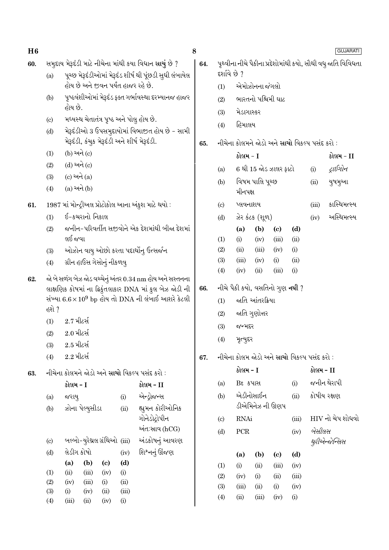| 60. |                                                          | સમુદાય મેરૂદંડી માટે નીચેના માંથી કયા વિધાન સાચું છે ?<br>પૂચ્છ મેરૂદંડીઓમાં મેરૂદંડ શીર્ષ થી પૂંછડી સુધી લંબાયેલ |              |                                     |               |                 | 64.                                                          | પૃથ્વીના નીચે પૈકીના પ્રદેશોમાંથી કયો, સૌથી વધુ જાતિ વિવિધતા<br>દર્શાવે છે ? |                |                 |                             |             |           |                |
|-----|----------------------------------------------------------|-------------------------------------------------------------------------------------------------------------------|--------------|-------------------------------------|---------------|-----------------|--------------------------------------------------------------|------------------------------------------------------------------------------|----------------|-----------------|-----------------------------|-------------|-----------|----------------|
|     | (a)                                                      | હોય છે અને જીવન પર્યંત હાજર રહે છે.                                                                               |              |                                     |               |                 | (1)                                                          | એમોઝોનના જંગલો                                                               |                |                 |                             |             |           |                |
|     | (b)                                                      | પૃષ્ઠવંશીઓમાં મેરૂદંડ ફક્ત ગર્ભાવસ્થા દરમ્યાનજ હાજર<br>હોય છે.<br>મધ્યસ્થ ચેતાતંત્ર પૃષ્ઠ અને પોલુ હોય છે.        |              |                                     |               |                 | (2)                                                          | ભારતનો પશ્ચિમી ઘાટ                                                           |                |                 |                             |             |           |                |
|     |                                                          |                                                                                                                   |              |                                     |               |                 | (3)                                                          | મેડાગાસ્કર                                                                   |                |                 |                             |             |           |                |
|     | $\left( \circ \right)$                                   |                                                                                                                   |              |                                     |               |                 |                                                              | (4)                                                                          | હિમાલય         |                 |                             |             |           |                |
|     | (d)                                                      | મેરૂદંડીઓ 3 ઉપસમુદાયોમાં વિભાજીત હોય છે - સામી<br>મેરૂદંડી, કંચુક મેરૂદંડી અને શીર્ષ મેરૂદંડી.                    |              |                                     |               |                 |                                                              |                                                                              |                |                 |                             |             |           |                |
|     |                                                          |                                                                                                                   |              |                                     |               |                 | 65.                                                          | નીચેના કોલમને જોડો અને સાચો વિકલ્પ પસંદ કરો :                                |                |                 |                             |             |           |                |
|     | (1)                                                      | (b) અને (c)<br>$(d)$ અને $(c)$                                                                                    |              |                                     |               |                 |                                                              |                                                                              | કોલમ - I       |                 |                             |             |           | કોલમ - II      |
|     | (2)                                                      |                                                                                                                   |              |                                     |               |                 |                                                              | (a)                                                                          |                |                 | 6 થી 15 જોડ ઝાલર ફાટો       |             | (i)       | ટ્રાઈગોન       |
|     | (3)                                                      | $(c)$ અને $(a)$<br>$(a)$ અને $(b)$                                                                                |              |                                     |               |                 |                                                              | (b)                                                                          |                | વિષમ પાલિ પૂચ્છ |                             |             |           | યુષમુઆ         |
|     | (4)                                                      |                                                                                                                   |              |                                     |               |                 |                                                              |                                                                              | મીનપક્ષ        |                 |                             |             |           |                |
| 61. |                                                          | 1987 માં મોન્દ્રીઅલ પ્રોટોકોલ આના અંકુશ માટે થયો :                                                                |              |                                     |               |                 |                                                              | $\left( \mathrm{c}\right)$                                                   | પ્લવનાશય       |                 |                             |             | (iii)     | કાસ્થિમત્સ્ય   |
|     | (1)                                                      | ઈ-કચરાનો નિકાલ                                                                                                    |              |                                     |               |                 |                                                              | (d)                                                                          |                | ઝેર કંટક (શૂળ)  |                             |             | (iv)      | અસ્થિમત્સ્ય    |
|     | (2)                                                      | જનીન-પરિવર્તીત સજીવોને એક દેશમાંથી બીજા દેશમાં                                                                    |              |                                     |               |                 |                                                              |                                                                              | (a)            | (b)             | $\left( \mathrm{c}\right)$  | (d)         |           |                |
|     |                                                          | લઈ જવા                                                                                                            |              |                                     |               |                 | (1)                                                          | (i)                                                                          | (iv)           | (iii)           | (ii)                        |             |           |                |
|     | (3)                                                      | ઓઝોન વાયુ ઓછો કરતા પદાર્થોનુ ઉત્સર્જન                                                                             |              |                                     |               |                 |                                                              | (2)                                                                          | (ii)           | (iii)           | (iv)                        | (i)         |           |                |
|     | (4)                                                      | ગ્રીન હાઉસ ગેસોનું નીકળવુ                                                                                         |              |                                     |               |                 | (3)                                                          | (iii)                                                                        | (iv)           | (i)             | (ii)<br>(i)                 |             |           |                |
| 62. | જો બે સળંગ બેઝ જોડ વચ્ચેનું અંતર 0.34 nm હોય અને સસ્તનના |                                                                                                                   |              |                                     |               |                 | (4)                                                          | (iv)                                                                         | (ii)           | (iii)           |                             |             |           |                |
|     | લાક્ષણિક કોષમાં ના દ્વિકુંતલાકાર DNA માં કુલ બેઝ જોડી ની |                                                                                                                   |              |                                     |               | 66.             | નીચે પૈકી કયો, વસતિનો ગુણ <b>નથી</b> ?                       |                                                                              |                |                 |                             |             |           |                |
|     |                                                          | સંખ્યા $6.6 \times 10^9$ bp હોય તો DNA ની લંબાઈ આશરે કેટલી                                                        |              |                                     |               |                 |                                                              | (1)                                                                          |                | જાતિ આંતરક્રિયા |                             |             |           |                |
|     | હશે ?                                                    |                                                                                                                   |              |                                     |               |                 |                                                              | (2)                                                                          | જાતિ ગુણોત્તર  |                 |                             |             |           |                |
|     | $2.7$ મીટર્સ<br>(1)                                      |                                                                                                                   |              |                                     | (3)           | જન્મદર          |                                                              |                                                                              |                |                 |                             |             |           |                |
|     | (2)                                                      | $2.0$ મીટર્સ<br>$2.5$ મીટર્સ                                                                                      |              |                                     |               |                 |                                                              | (4)                                                                          | મૃત્યુદર       |                 |                             |             |           |                |
|     | (3)                                                      |                                                                                                                   |              |                                     |               |                 |                                                              |                                                                              |                |                 |                             |             |           |                |
|     | (4)                                                      | $2.2$ મીટર્સ                                                                                                      |              |                                     |               |                 | 67.                                                          | નીચેના કોલમ જોડો અને <mark>સાચો</mark> વિકલ્પ પસંદ કરો :                     |                |                 |                             |             |           |                |
| 63. | નીચેના કોલમને જોડો અને સાચો વિકલ્પ પસંદ કરો :            |                                                                                                                   |              |                                     |               |                 |                                                              |                                                                              | કોલમ - I       |                 |                             |             | કોલમ - II |                |
|     |                                                          | કોલમ - I                                                                                                          |              |                                     | કોલમ - II     |                 | Bt કપાસ<br>(i)<br>(a)                                        |                                                                              |                | જનીન થેરાપી     |                             |             |           |                |
|     | (a)                                                      | જરાયુ                                                                                                             |              | (i)                                 | એન્ડ્રોજન્સ   |                 | (b)                                                          | એડીનોસાઈન<br>(ii)<br>ડીએમિનેઝ ની ઊણપ                                         |                | કોષીય રક્ષણ     |                             |             |           |                |
|     | (b)                                                      | ઝોના પેલ્યુસીડા<br>(ii)                                                                                           |              |                                     |               | હ્યુમન કોરીઓનિક |                                                              |                                                                              |                |                 |                             |             |           |                |
|     |                                                          |                                                                                                                   |              |                                     | ગોનેડોદ્રોપીન |                 | $\operatorname{RNAi}$<br>(iii)<br>$\left( \mathrm{c}\right)$ |                                                                              |                |                 | $HIV$ નો ચેપ શોધવો          |             |           |                |
|     |                                                          |                                                                                                                   |              |                                     |               | અંત:સાવ (hCG)   |                                                              | (d)                                                                          | ${\mbox{PCR}}$ |                 |                             | (iv)        | બેસીલસ    |                |
|     | (c)                                                      | બલ્બો-યુરેથ્રલ ગ્રંથિઓ (iii)                                                                                      |              |                                     |               | અંડકોષનું આવરણ  |                                                              |                                                                              |                |                 |                             |             |           | થુરીએન્જેન્સિસ |
|     | (d)                                                      | લેડીગ કોષો                                                                                                        |              |                                     | (iv)          | શિશ્નનું ઊંજણ   |                                                              |                                                                              | (a)            | (b)             | $\left( \mathbf{c} \right)$ | (d)         |           |                |
|     | (1)                                                      | (a)<br>(ii)                                                                                                       | (b)<br>(iii) | $\left( \mathbf{c} \right)$<br>(iv) | (d)<br>(i)    |                 |                                                              | (1)                                                                          | (i)            | (ii)            | (iii)                       | (iv)        |           |                |
|     | (2)                                                      | (iv)                                                                                                              | (iii)        | (i)                                 | (ii)          |                 |                                                              | (2)                                                                          | (iv)           | (i)             | (ii)                        | (iii)       |           |                |
|     | (3)                                                      | (i)                                                                                                               | (iv)         | (ii)                                | (iii)         |                 |                                                              | (3)<br>(4)                                                                   | (iii)<br>(ii)  | (ii)<br>(iii)   | (i)<br>(iv)                 | (iv)<br>(i) |           |                |
|     | (4)                                                      | (iii)                                                                                                             | (ii)         | (iv)                                | (i)           |                 |                                                              |                                                                              |                |                 |                             |             |           |                |

8

**GUJARATI** 

 $H6$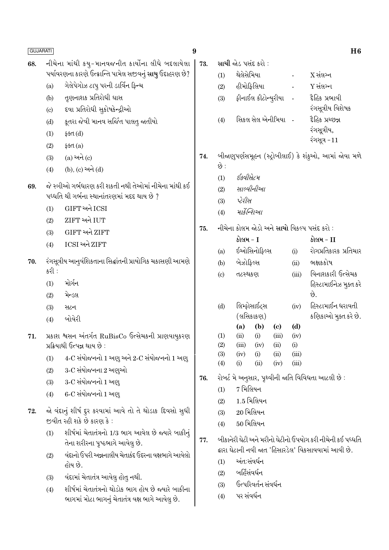| <b>GUJARATI</b> |                                                            |                                                                                                         | 9   |                                                           |              |                     |                            |                | H <sub>6</sub>                                           |
|-----------------|------------------------------------------------------------|---------------------------------------------------------------------------------------------------------|-----|-----------------------------------------------------------|--------------|---------------------|----------------------------|----------------|----------------------------------------------------------|
| 68.             |                                                            | નીચેના માંથી કયુ-માનવજનીત કાર્યોના લીધે બદલાયેલા                                                        | 73. |                                                           |              | સાચી જોડ પસંદ કરો : |                            |                |                                                          |
|                 |                                                            | પર્યાવરણના કારણે ઉત્ક્રાન્તિ પામેલ સજીવનું સાચુ ઉદાહરણ છે?                                              |     | (1)                                                       | થેલેસેમિયા   |                     |                            | $\frac{1}{2}$  | $X$ સંલગ્ન                                               |
|                 | (a)                                                        | ગેલેપેગોઝ ટાપુ પરની ડાર્વિન ફિન્ચ                                                                       |     | (2)                                                       |              | હીમોફિલિયા          |                            | $\frac{1}{2}$  | $Y$ સંલગ્ન                                               |
|                 | (b)                                                        | તૃણનાશક પ્રતિરોધી ઘાસ                                                                                   |     | (3)                                                       |              | ફીનાઈલ કીટોન્યુરીયા |                            |                | દૈહિક પ્રભાવી                                            |
|                 | (c)                                                        | દવા પ્રતિરોધી સુકોષકેન્દ્રીઓ                                                                            |     |                                                           |              |                     |                            |                | રંગસૂત્રીય વિશેષક                                        |
|                 | (d)                                                        | કૂતરા જેવી માનવ સર્જિત પાલતુ જાતીયો                                                                     |     | (4)                                                       |              |                     | સિકલ સેલ એનીમિયા -         |                | દ્રહિક પ્રચ્છન્ન                                         |
|                 | (1)                                                        | ફક્ત $(d)$                                                                                              |     |                                                           |              |                     |                            |                | રંગસૂત્રીય,<br>રંગસૂત્ર -11                              |
|                 | (2)                                                        | \$4d(a)                                                                                                 |     |                                                           |              |                     |                            |                |                                                          |
|                 | (3)                                                        | $(a)$ અને $(c)$                                                                                         | 74. |                                                           |              |                     |                            |                | બીજાણુપર્ણસમૂહન (સ્ટ્રોબીલાઈ) કે શંકુઓ, આમાં જોવા મળે    |
|                 | (4)                                                        | (b), (c) અને (d)                                                                                        |     | છે :                                                      |              |                     |                            |                |                                                          |
| 69.             |                                                            | જે સ્ત્રીઓ ગર્ભધારણ કરી શકતી નથી તેઓમાં નીચેના માંથી કઈ                                                 |     | (1)                                                       | ઈક્વીસેટમ    |                     |                            |                |                                                          |
|                 |                                                            | પધ્ધતિ થી ગર્ભના સ્થાનાંતરણમાં મદદ થાય છે ?                                                             |     | (2)                                                       |              | સાલ્વીનીઆ           |                            |                |                                                          |
|                 | (1)                                                        | GIFT અને ICSI                                                                                           |     | (3)                                                       | પેરીસ        |                     |                            |                |                                                          |
|                 | (2)                                                        | ZIFT અને IUT                                                                                            |     | (4)                                                       |              | માર્કેન્શિઓ         |                            |                |                                                          |
|                 | (3)                                                        | GIFT અને ZIFT                                                                                           | 75. |                                                           |              |                     |                            |                | નીચેના કોલમ જોડો અને <mark>સાચો</mark> વિકલ્પ પસંદ કરો : |
|                 | (4)                                                        | ICSI અને ZIFT                                                                                           |     |                                                           | કોલમ - I     |                     |                            |                | કોલમ - II                                                |
|                 |                                                            |                                                                                                         |     | (a)                                                       |              | ઈઓસિનોફિલ્સ         |                            | (i)            | રોગપ્રતિકારક પ્રતિચાર                                    |
| 70.             |                                                            | રંગસૂત્રીય આનુવંશિકતાના સિદ્ધાંતની પ્રાયોગિક ચકાસણી આમણે                                                |     | (b)                                                       | બેઝોફિલ્સ    |                     |                            | (ii)           | ભક્ષકકોષ                                                 |
|                 | કરી :                                                      |                                                                                                         |     | (c)                                                       | તટસ્થકણ      |                     |                            | (iii)          | વિનાશકારી ઉત્સેચક                                        |
|                 | (1)                                                        | મોર્ગન                                                                                                  |     |                                                           |              |                     |                            |                | હિસ્ટામાઈનેઝ મુક્ત કરે                                   |
|                 | (2)                                                        | મેન્ડલ                                                                                                  |     |                                                           |              | લિમ્ફોસાઈટ્સ        |                            | (iv)           | છે.<br>હિસ્ટામાઈન ધરાવતી                                 |
|                 | (3)                                                        | સટન                                                                                                     |     | (d)                                                       |              | (લસિકાકણ)           |                            |                | કણિકાઓ મુક્ત કરે છે.                                     |
|                 | (4)                                                        | બોવેરી                                                                                                  |     |                                                           | (a)          | (b)                 | $\left( \mathrm{c}\right)$ | (d)            |                                                          |
| 71.             |                                                            | પ્રકાશ શ્વસન અંતર્ગત RuBisCo ઉત્સેચકની પ્રાણવાયુકરણ                                                     |     | (1)                                                       | (ii)         | (i)                 | (iii)                      | (iv)           |                                                          |
|                 |                                                            | પ્રક્રિયાથી ઉત્પન્ન થાય છે :                                                                            |     | (2)                                                       | (iii)        | (iv)                | (ii)                       | (i)            |                                                          |
|                 | (1)                                                        | 4-C સંયોજનનો 1 અણુ અને 2-C સંયોજનનો 1 અણુ                                                               |     | (3)<br>(4)                                                | (iv)<br>(i)  | (i)<br>(ii)         | (ii)<br>(iv)               | (iii)<br>(iii) |                                                          |
|                 | (2)                                                        | 3-C સંયોજનના 2 અણુઓ<br>3-C સંયોજનનો 1 અણુ                                                               |     |                                                           |              |                     |                            |                |                                                          |
|                 | (3)                                                        |                                                                                                         |     |                                                           |              |                     |                            |                | રોબર્ટ મે અનુસાર, પૃથ્વીની જાતિ વિવિધતા આટલી છે :        |
|                 | (4)                                                        | 6-C સંયોજનનો 1 અણ્                                                                                      |     | (1)                                                       | 7 મિલિયન     | $1.5$ મિલિયન        |                            |                |                                                          |
| 72.             | જો વંદાનું શીર્ષ દુર કરવામાં આવે તો તે થોડાક દિવસો સુધી    |                                                                                                         |     | (2)                                                       |              | $20$ મિલિયન         |                            |                |                                                          |
|                 | જીવીત રહી શકે છે કારણ કે :                                 |                                                                                                         |     | (3)                                                       |              | $50$ મિલિયન         |                            |                |                                                          |
|                 | શીર્ષમાં ચેતાતંત્રનો 1/3 ભાગ આવેલ છે જ્યારે બાકીનું<br>(1) |                                                                                                         |     | (4)                                                       |              |                     |                            |                |                                                          |
|                 |                                                            | તેના શરીરના પૃષ્ઠભાગે આવેલુ છે.<br>વંદાનો ઉપરી અન્નનાલીય ચેતાકંદ ઉદરના વક્ષભાગે આવેલો<br>(2)<br>હોય છે. |     | બીકાનેરી ઘેટી અને મરીનો ઘેટીનો ઉપયોગ કરી નીચેની કઈ પધ્ધતિ |              |                     |                            |                |                                                          |
|                 |                                                            |                                                                                                         |     | દ્વારા ઘેટાની નવી જાત 'હિસારડેલ' વિકસાવવામાં આવી છે.      |              |                     |                            |                |                                                          |
|                 |                                                            |                                                                                                         |     | (1)                                                       |              | અંત:સંવર્ધન         |                            |                |                                                          |
|                 | (3)                                                        | વંદામાં ચેતાતંત્ર આવેલુ હોતુ નથી.                                                                       |     | (2)                                                       | બર્હિસંવર્ધન |                     |                            |                |                                                          |
|                 | (4)                                                        | શીર્ષમાં ચેતાતંત્રનો થોડોક ભાગ હોય છે જ્યારે બાકીના                                                     |     | (3)                                                       |              | ઉત્પરિવર્તન સંવર્ધન |                            |                |                                                          |
|                 |                                                            | ભાગમાં મોટા ભાગનું ચેતાતંત્ર વક્ષ ભાગે આવેલુ છે.                                                        |     | (4)                                                       | પર સંવર્ધન   |                     |                            |                |                                                          |
|                 |                                                            |                                                                                                         |     |                                                           |              |                     |                            |                |                                                          |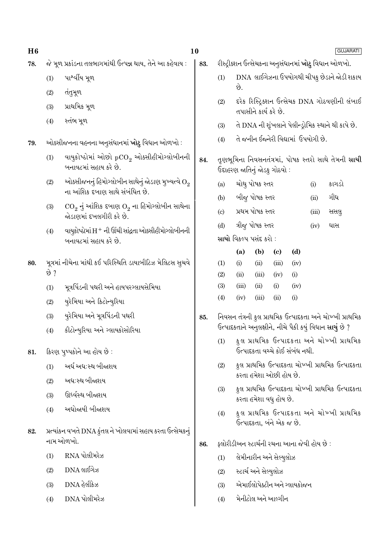| H6  |      |                                                                                             | 10  |                                                                                                                     |                                                                            |                       |                             | <b>GUJARATI</b>                      |       |                                                     |
|-----|------|---------------------------------------------------------------------------------------------|-----|---------------------------------------------------------------------------------------------------------------------|----------------------------------------------------------------------------|-----------------------|-----------------------------|--------------------------------------|-------|-----------------------------------------------------|
| 78. |      | જે મૂળ પ્રકાંડના તલભાગમાંથી ઉત્પન્ન થાય, તેને આ કહેવાય :                                    | 83. |                                                                                                                     | રીસ્ટ્રીક્શન ઉત્સેચકના અનુસંધાનમાં <b>ખોટુ</b> વિધાન ઓળખો.                 |                       |                             |                                      |       |                                                     |
|     | (1)  | પાર્શ્વીય મૂળ                                                                               |     | (1)                                                                                                                 | DNA લાઈગેઝના ઉપયોગથી ચીપકુ છેડાને જોડી શકાય<br>છે.                         |                       |                             |                                      |       |                                                     |
|     | (2)  | તંતુમૂળ                                                                                     |     | (2)                                                                                                                 | દરેક રિસ્ટ્રિક્શન ઉત્સેચક DNA ગોઠવણીની લંબાઈ                               |                       |                             |                                      |       |                                                     |
|     | (3)  | પ્રાથમિક મૂળ                                                                                |     |                                                                                                                     |                                                                            | તપાસીને કાર્ય કરે છે. |                             |                                      |       |                                                     |
|     | (4)  | સ્તંભ મૂળ                                                                                   |     | (3)                                                                                                                 |                                                                            |                       |                             |                                      |       | તે DNA ની શૃંખલાને પેલીન્ડ્રોમિક સ્થાને થી કાપે છે. |
| 79. |      | ઓક્સીજનના વહનના અનુસંધાનમાં <b>ખોટુ</b> વિધાન ઓળખો :                                        |     | (4)                                                                                                                 |                                                                            |                       |                             | તે જનીન ઈજ્નેરી વિદ્યામાં ઉપયોગી છે. |       |                                                     |
|     | (1)  | વાયુકોષ્ઠોમાં ઓછો $pCO_2$ ઓક્સીહીમોગ્લોબીનની<br>બનાવટમાં સહાય કરે છે.                       | 84. | તૃણભૂમિના નિવસનતંત્રમાં, પોષક સ્તરો સાથે તેમની <b>સાચી</b><br>ઉદાહરણ જાતિનું જોડકુ ગોઠવો :                          |                                                                            |                       |                             |                                      |       |                                                     |
|     | (2)  | ઓક્સીજનનું હિમોગ્લોબીન સાથેનું જોડાણ મુખ્યત્વે $\mathrm{O}_2$                               |     | (a)                                                                                                                 | ચોથુ પોષક સ્તર<br>(i)                                                      |                       |                             |                                      | કાગડો |                                                     |
|     |      | ના આંશિક દબાણ સાથે સંબંધિત છે.                                                              |     | (b)                                                                                                                 | બીજુ પોષક સ્તર<br>ગીધ<br>(ii)                                              |                       |                             |                                      |       |                                                     |
|     | (3)  | $\text{CO}_2$ નું આંશિક દબાણ $\text{O}_2$ ના હિમોગ્લોબીન સાથેના<br>જોડાણમાં દખલગીરી કરે છે. |     | $\left( \mathrm{c}\right)$                                                                                          |                                                                            | પ્રથમ પોષક સ્તર       |                             |                                      | (iii) | સસલુ                                                |
|     | (4)  | વાયુકોષ્ઠોમાં $\mathrm{H}^+$ ની ઊંચી સાંદ્રતા ઓક્સીહીમોગ્લોબીનની<br>બનાવટમાં સહાય કરે છે.   |     | (d)                                                                                                                 | ત્રીજુ પોષક સ્તર<br>(iv)<br>ઘાસ                                            |                       |                             |                                      |       |                                                     |
|     |      |                                                                                             |     |                                                                                                                     | સાચો વિકલ્પ પસંદ કરો :                                                     |                       |                             |                                      |       |                                                     |
| 80. |      |                                                                                             |     |                                                                                                                     | (a)                                                                        | (b)                   | $\left( \mathbf{c} \right)$ | (d)                                  |       |                                                     |
|     | છે ? | મૂત્રમાં નીચેના માંથી કઈ પરિસ્થિતિ ડાયાબીટિઝ મેલિટસ સુચવે                                   |     |                                                                                                                     | (i)                                                                        | (ii)                  | (iii)                       | (iv)                                 |       |                                                     |
|     |      | મૂત્રપિંડની પથરી અને હાયપરગ્લાયસેમિયા                                                       |     | (2)<br>(3)                                                                                                          | (ii)<br>(iii)                                                              | (iii)<br>(ii)         | (iv)<br>(i)                 | (i)<br>(iv)                          |       |                                                     |
|     | (1)  |                                                                                             |     | (4)                                                                                                                 | (iv)                                                                       | (iii)                 | (ii)                        | (i)                                  |       |                                                     |
|     | (2)  | યુરેમિયા અને કિટોન્યુરિયા                                                                   |     |                                                                                                                     |                                                                            |                       |                             |                                      |       |                                                     |
|     | (3)  | યુરેમિયા અને મૂત્રપિંડની પથરી                                                               | 85. | નિવસન તંત્રની કુલ પ્રાથમિક ઉત્પાદકતા અને ચોખ્ખી પ્રાથમિક<br>ઉત્પાદકતાને અનુલક્ષીને, નીચે પૈકી કયું વિધાન સાચું છે ? |                                                                            |                       |                             |                                      |       |                                                     |
|     | (4)  | કીટોન્યુરિયા અને ગ્લાયકોસોરિયા                                                              |     | (1)                                                                                                                 | કુલ પ્રાથમિક ઉત્પાદકતા અને ચોખ્ખી પ્રાથમિક                                 |                       |                             |                                      |       |                                                     |
| 81. |      | કિરણ પુષ્પકોને આ હોય છે :                                                                   |     |                                                                                                                     | ઉત્પાદકતા વચ્ચે કોઈ સંબંધ નથી.                                             |                       |                             |                                      |       |                                                     |
|     | (1)  | અર્ધ અધ:સ્થ બીજાશય                                                                          |     | (2)                                                                                                                 | કુલ પ્રાથમિક ઉત્પાદકતા ચોખ્ખી પ્રાથમિક ઉત્પાદકતા<br>કરતા હમેશા ઓછી હોય છે. |                       |                             |                                      |       |                                                     |
|     | (2)  | અધ:સ્થ બીજાશય                                                                               |     |                                                                                                                     | કુલ પ્રાથમિક ઉત્પાદકતા ચોખ્ખી પ્રાથમિક ઉત્પાદકતા                           |                       |                             |                                      |       |                                                     |
|     | (3)  | ઊર્ધ્વસ્થ બીજાશય<br>અધોજાયી બીજાશય                                                          |     | (3)                                                                                                                 | કરતા હમેશા વધુ હોય છે.                                                     |                       |                             |                                      |       |                                                     |
|     | (4)  |                                                                                             |     | (4)                                                                                                                 |                                                                            |                       |                             |                                      |       | કુલ પ્રાથમિક ઉત્પાદકતા અને ચોખ્ખી પ્રાથમિક          |
| 82. |      | પ્રત્યાંકન વખતે DNA કુંતલ ને ખોલવામાં સહાય કરતા ઉત્સેચકનું                                  |     |                                                                                                                     | ઉત્પાદકતા, બંને એક જ છે.                                                   |                       |                             |                                      |       |                                                     |
|     |      | નામ ઓળખો.<br>RNA પોલીમરેઝ                                                                   |     |                                                                                                                     | ફ્લોરીડીઅન સ્ટાર્ચની રચના આના જેવી હોય છે :<br>86.                         |                       |                             |                                      |       |                                                     |
|     | (1)  |                                                                                             |     | (1)                                                                                                                 |                                                                            |                       | લેમીનારીન અને સેલ્યુલોઝ     |                                      |       |                                                     |
|     | (2)  | $DNA$ લાઈગેઝ                                                                                |     | (2)                                                                                                                 |                                                                            | સ્ટાર્ચ અને સેલ્યુલોઝ |                             |                                      |       |                                                     |
|     | (3)  | DNA હેલીકેઝ                                                                                 |     | (3)                                                                                                                 |                                                                            |                       |                             | એમાઈલોપેક્ટીન અને ગ્લાયકોજન          |       |                                                     |
|     | (4)  | DNA પોલીમરેઝ                                                                                |     | (4)                                                                                                                 |                                                                            |                       | મેનીટોલ અને આલ્ગીન          |                                      |       |                                                     |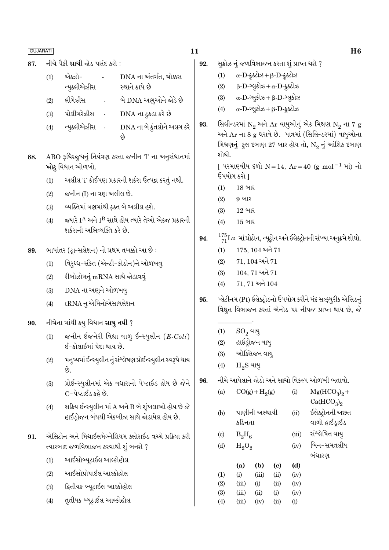| L.<br>ப<br>ப |
|--------------|
|              |

- નીચે પૈકી સાચી જોડ પસંદ કરો : 87.
	- એક્ઝો-DNA ના અંતર્ગત, ચોક્કસ  $(1)$ ન્યૂક્લીએઝીસ સ્થાને કાપે છે
	- લીગેઝીસ બે DNA અણઓને જોડે છે  $(2)$
	- પોલીમરેઝીસ DNA ના ટ્રકડા કરે છે  $(3)$
	- ન્યૂક્લીએઝીસ DNA ના બે કુંતલોને અલગ કરે  $(4)$ છે
- ABO રૂધિરજૂથનું નિયંત્રણ કરતા જનીન 'I' ના અનુસંધાનમાં 88. ખોટુ વિધાન ઓળખો.
	- અલીલ 'i' કોઈપણ પ્રકારની શર્કરા ઉત્પન્ન કરતું નથી.  $(1)$
	- જનીન (I) ના ત્રણ અલીલ છે.  $(2)$
	- વ્યક્તિમાં ત્રણમાંથી કક્ત બે અલીલ હશે.  $(3)$
	- જ્યારે I<sup>A</sup> અને I<sup>B</sup> સાથે હોય ત્યારે તેઓ એકજ પ્રકારની  $(4)$ શર્કરાની અભિવ્યક્તિ કરે છે.
- ભાષાંતર (દ્રાન્સલેશન) નો પ્રથમ તબક્કો આ છે : 89.
	- વિરૂધ્ધ-સંકેત (એન્ટી-કોડોન)ને ઓળખવ્  $(1)$
	- રીબોઝોમનું mRNA સાથે જોડાવવું  $(2)$
	- DNA ના અણુને ઓળખવુ  $(3)$
	- tRNA નુ એમિનોએસાયલેશન  $(4)$
- 90. નીચેના માંથી કયુ વિધાન **સાચુ નથી** ?
	- જનીન ઈજનેરી વિદ્યા વાળ ઈન્સ્યૂલીન  $(E\text{-}Coli)$  $(1)$ ઈ-કોલાઈમાં પેદા થાય છે.
	- મનુષ્યમાં ઈન્સ્યુલીન નું સંશ્લેષણ પ્રોઈન્સ્યુલીન સ્વરૂપે થાય  $(2)$ છે.
	- પ્રોઈન્સ્યુલીનમાં એક વધારાનો પેપ્ટાઈડ હોય છે જેને  $(3)$ C-પેપ્ટાઈડ કહે છે.
	- સક્રિય ઈન્સ્યુલીન માં A અને B બે શૃંખલાઓ હોય છે જે  $(4)$ હાઈડ્રોજન બંધથી એકબીજા સાથે જોડાયેલ હોય છે.
- એસિટોન અને મિથાઈલમેગ્નેશિયમ ક્લોરાઈડ વચ્ચે પ્રક્રિયા કરી 91. ત્યારબાદ જળવિભાજન કરવાથી શું બનશે ?
	- આઈસોબ્યૂટાઈલ આલ્કોહોલ  $(1)$
	- આઈસોપ્રોપાઈલ આલ્કોહોલ  $(2)$
	- ફ્રિતીયક બ્યૂટાઈલ આલ્કોહોલ  $(3)$
	- તૃતીયક બ્યુટાઈલ આલ્કોહોલ  $(4)$

11

- સુક્રોઝ નું જળવિભાજન કરતા શું પ્રાપ્ત થશે ? 92.
	- $\alpha$ -D-  $\frac{1}{2}$ ક્ટોઝ + β-D- ફૂક્ટોઝ  $(1)$
	- $\beta$ -D- $\log 3$ b +  $\alpha$ -D- $\frac{1}{2}$ selb  $(2)$
	- $\alpha$ -D-ગ્લૂકોઝ +  $\beta$ -D-ગ્લૂકોઝ  $(3)$
	- $\alpha$ -D- $\log 3$ b +  $\beta$ -D- $\frac{1}{2}$ selb  $(4)$
- 93. સિલીન્ડરમાં  $\mathrm{N}_2$  અને Ar વાયુઓનું એક મિશ્રણ  $\mathrm{N}_2$  ના 7 g અને Ar ના 8 g ધરાવે છે. પાત્રમાં (સિલિન્ડરમાં) વાયુઓના મિશ્રણનું કુલ દબાણ 27 બાર હોય તો,  $\mathrm{N}_2$  નું આંશિક દબાણ શોધો.

[ પરમાણ્વીય દળો N = 14, Ar = 40 (g mol<sup>-1</sup> માં) નો ઉપયોગ કરો 1

- 18 બાર  $(1)$
- 9 બાર  $(2)$
- 12 બાર  $(3)$
- $15$  બાર  $(4)$
- $\frac{175}{71}$ Lu માં પ્રોટોન, ન્યૂટ્રોન અને ઈલેક્ટ્રોનની સંખ્યા અનુક્રમે શોધો. 94.
	- $175, 104$  અને  $71$  $(1)$
	- 71, 104 અને 71  $(2)$
	- $104, 71$  અને  $71$  $(3)$
	- 71, 71 અને 104  $(4)$
- પ્લેટીનમ (Pt) ઈલેક્ટ્રોડનો ઉપયોગ કરીને મંદ સલ્ફ્યુરીક એસિડનું 95. વિદ્યુત વિભાજન કરતાં એનોડ પર નીપજ પ્રાપ્ત થાય છે, જે
	- $(1)$  $\mathrm{SO}_2$  વાયુ
	- હાઈડ્રોજન વાયુ  $(2)$
	- ઓક્સિજન વાયુ  $(3)$
	- $H<sub>2</sub>S$  વાયુ  $(4)$
- નીચે આપેલાને જોડો અને **સાચો** વિકલ્પ ઓળખી બતાવો. 96.

 $(i)$ 

- $CO(g) + H<sub>2</sub>(g)$  $(a)$
- $Mg(HCO<sub>3</sub>)<sub>9</sub> +$  $Ca(HCO<sub>3</sub>)<sub>2</sub>$
- પાણીની અસ્થાયી  $(b)$  $(ii)$ કઠિનતા
- $B_2H_6$  $\left( \mathrm{c} \right)$
- $(d)$  $H_2O_2$
- $(a)$  $(b)$  $(d)$ (c)  $(1)$  $(i)$  $(iii)$  $(ii)$  $(iv)$  $(2)$  $(iv)$  $(iii)$  $(i)$  $(ii)$  $(3)$  $(iv)$  $(iii)$  $(ii)$  $(i)$  $(4)$  $(iii)$  $(iv)$  $(ii)$  $(i)$
- ઈલેક્ટ્રોનની અછત વાળો હાઈડ્રાઈડ
- સંશ્લેષિત વાય  $(iii)$
- બિન–સમતલીય  $(iv)$ 
	- બંધારણ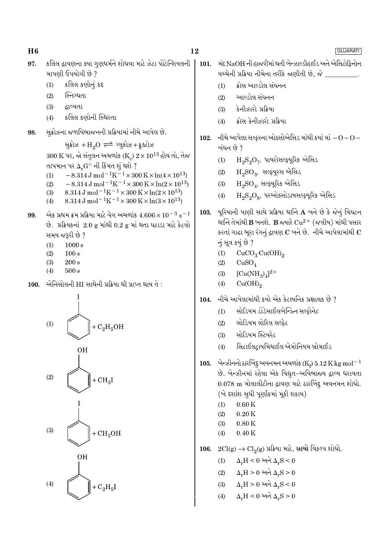102.

104.

કલિલ દ્રાવણના ક્યા ગુણધર્મને શોધવા માટે ઝેટા પોટેન્શિયલની 97. માપણી ઉપયોગી છે ?

- કલિલ કણોનું કદ  $(1)$
- $(2)$ સ્નિગ્ધતા
- ઢાવ્યતા  $(3)$
- કલિલ કણોની સ્થિરતા  $(4)$
- સુક્રોઝના જળવિભાજનની પ્રક્રિયામાં નીચે આપેલ છે. 98.

સુક્રોઝ + $H_2O \rightleftharpoons 29.49$ મ કુક્ટોઝ  $300 \text{ K}$  પર, જો સંતુલન અચળાંક (K)  $2 \times 10^{13}$  હોય તો, તેજ તાપમાન પર  $\Delta_r G^\ominus$  ની કિંમત શું થશે ?

- $-8.314 \,\mathrm{J} \,\mathrm{mol}^{-1} \mathrm{K}^{-1} \times 300 \,\mathrm{K} \times \ln(4 \times 10^{13})$  $(1)$  $-8.314 \text{ J} \text{ mol}^{-1} \text{K}^{-1} \times 300 \text{ K} \times \ln(2 \times 10^{13})$
- $(2)$
- 8.314 J mol<sup>-1</sup>K<sup>-1</sup> × 300 K × ln(2 × 10<sup>13</sup>)  $(3)$  $8.314 \text{ J} \text{ mol}^{-1} \text{K}^{-1} \times 300 \text{ K} \times \ln(3 \times 10^{13})$  $(4)$
- એક પ્રથમ ક્રમ પ્રક્રિયા માટે વેગ અચળાંક  $4.606\times10^{-3}$   ${\rm s}^{-1}$ 99. છે. પ્રક્રિયકનાં 2.0 g માંથી 0.2 g માં થતા ઘટાડા માટે કેટલો સમય જરૂરી છે ?
	- $(1)$  $1000 s$
	- $100 s$  $(2)$
	- $(3)$  $200 s$
	- $500 s$  $(4)$
- એનિસોલની HI સાથેની પ્રક્રિયા થી પ્રાપ્ત થાય તે :  $100.$



- મંદ NaOH ની હાજરીમાં થતી બેન્ઝાલ્ડીહાઈડ અને એસિટોકિનોન 101. વચ્ચેની પ્રક્રિયા નીચેના તરીકે જાણીતી છે, જે \_\_\_ ક્રોસ આલ્ડોલ સંઘનન  $(1)$ આલ્ડોલ સંઘનન  $(2)$ કેનીઝારો પ્રક્રિયા  $(3)$ ક્રોસ કેનીઝારો પ્રક્રિયા  $(4)$ નીચે આપેલા સલ્ફરના ઓક્સોએસિડ માંથી કયાં માં $-O$  –  $O$  – બંધન છે ?  $(1)$  $\mathrm{H}_{2}\mathrm{S}_{2}\mathrm{O}_{7}$ , પાયરોસલ્ફ્યૂરિક એસિડ  $H_9SO_9$ , સલ્ફ્યૂરસ એસિડ  $(2)$  $H_2SO_4$ , સલ્ફ્યૂરિક એસિડ  $(3)$  $\text{H}_{2}\text{S}_{2}\text{O}_{8}$ , પરઓક્સોડાયસલ્ફ્યૂરિક એસિડ  $(4)$ યૂરિયાની પાણી સાથે પ્રક્રિયા થઈને A બને છે કે જેનું વિઘટન 103. થઈને તેમાંથી  $\bf B$  બનશે.  $\bf B$  જ્યારે  ${\rm Cu^{2+}}$  (જલીય) માંથી પસાર કરતાં ગાઢા ભુરા રંગનું દ્રાવણ  $\mathbf C$  બને છે. નીચે આપેલામાંથી  $\mathbf C$ નું સૂત્ર કયું છે ?  $CuCO<sub>3</sub>·Cu(OH)<sub>2</sub>$  $(1)$  $(2)$  $CuSO<sub>4</sub>$  $[Cu(NH_3)_4]^{2+}$  $(3)$  $Cu(OH)_{2}$  $(4)$ નીચે આપેલામાંથી કયો એક કેટાયનિક પ્રક્ષાલક છે ? સોડિયમ ડોડેસાઈલબેન્ઝ્નિ સલ્કોનેટ  $(1)$ સોડિયમ લોરિલ સલ્કેટ  $(2)$ સોડિયમ સ્ટિયરેટ  $(3)$ સિટાઈલટાયમિથાઈલ એમોનિયમ બ્રોમાઈડ  $(4)$ 105. બેન્ઝીનનો ઠારબિંદુ અવનમન અચળાંક (K<sub>t</sub>) 5.12 K kg mol<sup>-1</sup>
- છે. બેન્ઝીનમાં રહેલા એક વિદ્યુત-અવિભાજ્ય દ્રાવ્ય ધરાવતા 0.078 m મોલાલીટીના દ્રાવણ માટે ઠારબિંદુ અવનમન શોધો. (બે દર્શાશ સુધી પૂર્ણાંકમાં મૂકી શકાય)
	- $0.60K$  $(1)$
	- $(2)$  $0.20K$
	- $(3)$  $0.80K$
	- $0.40 K$  $(4)$
- $2Cl(g) \rightarrow Cl_2(g)$  પ્રક્રિયા માટે, સાચો વિકલ્પ શોધો. 106.
	- $\Delta_r H < 0$  અને  $\Delta_r S < 0$  $(1)$
	- $\Delta_r H > 0$  અને  $\Delta_r S > 0$  $(2)$
	- $\Delta_r H > 0$  અને  $\Delta_r S < 0$  $(3)$
	- $\Delta_r H < 0$  અને  $\Delta_r S > 0$  $(4)$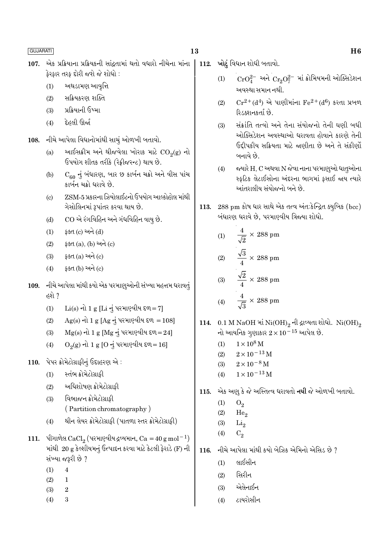- એક પ્રક્રિયાના પ્રક્રિયકની સાંદ્રતામાં થતો વધારો નીચેના માંના 107. ફેરફાર તરફ દોરી જશે જે શોધો :
	- અથડામણ આવૃત્તિ  $(1)$
	- સક્રિયકરણ શક્તિ  $(2)$
	- $(3)$ પ્રક્રિયાની ઉષ્મા
	- દેહલી ઊર્જા  $(4)$
- નીચે આપેલા વિધાનોમાંથી સાચું ઓળખી બતાવો. 108.
	- આઈસક્રીમ અને થીજવેલા ખોરાક માટે  $CO<sub>2</sub>(g)$  નો  $(a)$ ઉપયોગ શીતક તરીકે (રેફ્રીજરન્ટ) થાય છે.
	- $\overline{\mathrm{C}}_{60}$  નું બંધારણ, બાર છ કાર્બન ચક્રો અને વીસ પાંચ  $(b)$ કાર્બન ચક્રો ધરાવે છે.
	- ZSM-5 પ્રકારના ઝિયોલાઈટનો ઉપયોગ આલ્કોહોલ માંથી  $\left( \mathrm{e}\right)$ ગેસોલિનમાં રૂપાંતર કરવા થાય છે.
	- CO એ રંગવિહિન અને ગંધવિહિન વાયુ છે.  $(d)$
	- ફક્ત (c) અને (d)  $(1)$
	- ફક્ત (a), (b) અને (c)  $(2)$
	- ફક્ત $(a)$  અને $(c)$  $(3)$
	- ફક્ત (b) અને (c)  $(4)$
- 109. નીચે આપેલા માંથી કયો એક પરમાણુઓની સંખ્યા મહત્તમ ધરાવતું હશે ?
	- $Li(s)$  નો 1 g [Li નું પરમાણ્વીય દળ=7]  $(1)$
	- Ag(s) નો 1 g [Ag નું પરમાણ્વીય દળ = 108]  $(2)$
	- $Mg(s)$  નો 1 g  $[Mg \neq 1]$  પરમાણ્વીય દળ=24]  $(3)$
	- $O_2(g)$  નો 1 g [O નું પરમાણ્વીય દળ=16]  $(4)$
- 110. પેપર ક્રોમેટોગ્રાફીનું ઉદાહરણ એ:
	- સ્તંભ ક્રોમેટોગ્રાકી  $(1)$
	- અધિશોષણ ક્રોમેટોગ્રાકી  $(2)$
	- વિભાજન ક્રોમેટોગ્રાકી  $(3)$ 
		- (Partition chromatography)
	- થીન લેયર ક્રોમેટોગ્રાફી (પાતળા સ્તર ક્રોમેટોગ્રાફી)  $(4)$
- 111. પીગાળેલ CaCl<sub>2</sub> (પરમાણ્વીય દ્રવ્યમાન, Ca = 40 g mol<sup>-1</sup>) માંથી 20 g કેલ્શીયમનું ઉત્પાદન કરવા માટે કેટલી ફેરાડે (F) ની સંખ્યા જરૂરી છે ?
	- $(1)$  $\overline{4}$
	- $(2)$  $\mathbf{1}$
	- $(3)$  $\overline{2}$
	- $(4)$  $\overline{3}$
- 112. ખોટું વિધાન શોધી બતાવો.
	- $CrO_4^{2-}$  અને  $Cr_2O_7^{2-}$  માં ક્રોમિયમની ઓક્સિડેશન  $(1)$ અવસ્થા સમાન નથી.
	- $Cr^{2+}(d^4)$  એ પાણીમાંના  $Fe^{2+}(d^6)$  કરતા પ્રબળ  $(2)$ રિડક્શનકર્તા છે.
	- સંક્રાંતિ તત્વો અને તેના સંયોજનો તેની ઘણી બધી  $(3)$ ઓક્સિડેશન અવસ્થાઓ ધરાવતા હોવાને કારણે તેની ઉદ્દીપકીય સક્રિયતા માટે જાણીતા છે અને તે સંકીર્ણો બનાવે છે.
	- જ્યારે H, C અથવા N જેવા નાના પરમાણુઓ ધાતૂઓના  $(4)$ સ્કૃટિક લેટાઈસોના અંદરના ભાગમાં ફસાઈ જાય ત્યારે આંતરાલીય સંયોજનો બને છે.
- 113. 288 pm કોષ ધાર સાથે એક તત્વ અંત:કેન્દ્રિત ક્યુબિક (bcc) બંધારણ ધરાવે છે, પરમાણ્વીય ત્રિજ્યા શોધો.

(1) 
$$
\frac{4}{\sqrt{2}} \times 288 \text{ pm}
$$
  
(2) 
$$
\frac{\sqrt{3}}{4} \times 288 \text{ pm}
$$
  
(3) 
$$
\frac{\sqrt{2}}{4} \times 288 \text{ pm}
$$
  
(4) 
$$
\frac{4}{\sqrt{3}} \times 288 \text{ pm}
$$

- 114. 0.1 M NaOH માં Ni(OH), ની દ્રાવ્યતા શોધો. Ni(OH), નો આયનિક ગૃણાકાર  $2 \times 10^{-15}$  આપેલ છે.
	- $1 \times 10^8$  M  $(1)$
	- $2\times10^{-13}\,\mathrm{M}$  $(2)$
	- $2 \times 10^{-8}$  M  $(3)$
	- $1 \times 10^{-13}$  M  $(4)$
- 115. એક અણ કે જે અસ્તિત્વ ધરાવતો નથી જે ઓળખી બતાવો.
	- $(1)$  $O<sub>2</sub>$
	- $(2)$ He<sub>o</sub>
	- $Li<sub>2</sub>$  $(3)$
	- $(4)$  $C<sub>2</sub>$
- નીચે આપેલા માંથી કયો બેઝિક એમિનો એસિડ છે  $\it 7$ 116.
	- લાઈસીન  $(1)$
	- સિરીન  $(2)$
	- એલેનાઈન  $(3)$
	- ટાયરોસીન  $(4)$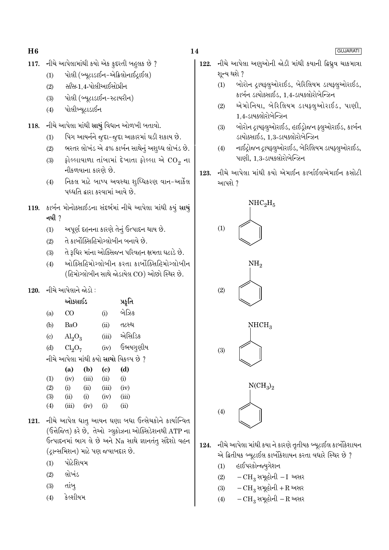- નીચે આપેલામાંથી કયો એક કુદરતી બહુલક છે ? 117.
	- પોલી (બ્યુટાડાઈન-એક્રિલોનાઈટ્રાઈલ)  $(1)$
	- *સીસ*-1.4-પોલીઆઈસોપ્રીન  $(2)$
	- પોલી (બ્યટાડાઈન-સ્ટાયરીન)  $(3)$
	- પોલીબ્યુટાડાઈન  $(4)$
- 118. નીચે આપેલા માંથી સાચું વિધાન ઓળખી બતાવો.
	- પિગ આયર્નને જુદા-જુદા આકારમાં ઘડી શકાય છે.  $(1)$
	- ભરતર લોખંડ એ 4% કાર્બન સાથેનું અશૃધ્ધ લોખંડ છે.  $(2)$
	- ફોલ્લાવાળા તાંબામાં દેખાતા ફોલ્લા એ  $\mathrm{CO}_2$  ના  $(3)$ નીકળવાના કારણે છે.
	- નિકલ માટે બાષ્પ અવસ્થા શુધ્ધિકરણ વાન-આર્કેલ  $(4)$ પઘ્ધતિ દ્વારા કરવામાં આવે છે.
- 119. કાર્બન મોનોક્સાઈડના સંદર્ભમાં નીચે આપેલા માંથી કયું સાચું નથી  $\gamma$ 
	- અપૂર્ણ દહનના કારણે તેનું ઉત્પાદન થાય છે.  $(1)$
	- તે કાર્બોક્સિહિમોગ્લોબીન બનાવે છે.  $(2)$
	- તે રૂધિર માંના ઓક્સિજન પરિવહન ક્ષમતા ઘટાડે છે.  $(3)$
	- ઓક્સિહિમોગ્લોબીન કરતા કાર્બોક્સિહિમોગ્લોબીન  $(4)$ (હિમોગ્લોબીન સાથે જોડાયેલ CO) ઓછો સ્થિર છે.

## 120. નીચે આપેલાને જોડો :

|                            | ઓક્સાઈડ                        |       |                            | પ્રકૃતિ                                            |
|----------------------------|--------------------------------|-------|----------------------------|----------------------------------------------------|
| (a)                        | CO                             |       | (i)                        | બેઝિક                                              |
| (b)                        | BaO                            |       | (ii)                       | તટસ્થ                                              |
| $\left( \mathrm{c}\right)$ | $\text{Al}_2\text{O}_3$        |       | (iii)                      | એસિડિક                                             |
| (d)                        | Cl <sub>2</sub> O <sub>7</sub> |       | (iv)                       | ઉભયગૃણીય                                           |
|                            |                                |       |                            | નીચે આપેલા માંથી કયો <mark>સાચો</mark> વિકલ્પ છે ? |
|                            | (a)                            | (b)   | $\left( \mathrm{e}\right)$ | (d)                                                |
| (1)                        | (iv)                           | (iii) | (ii)                       | (i)                                                |

| (T) | (IV)  | ιш)  | (U.J  | W     |
|-----|-------|------|-------|-------|
| (2) | (i)   | (ii) | (iii) | (iv)  |
| (3) | (ii)  | (i)  | (iv)  | (iii) |
| (4) | (iii) | (iv) | (i)   | (ii)  |

- 121. નીચે આપેલ ધાત્ આયન ઘણા બધા ઉત્સેચકોને કાર્યાન્વિત (ઉત્તેજિત) કરે છે, તેઓ ગ્લુકોઝના ઓક્સિડેશનથી ATP ના ઉત્પાદનમાં ભાગ લે છે અને Na સાથે જ્ઞાનતંત્ સંદેશો વહન (દ્રાન્સમિશન) માટે પણ જવાબદાર છે.
	- પોટેશિયમ  $(1)$
	- લોખંડ  $(2)$
	- તાંબ્  $(3)$
	- કેલ્શીયમ  $(4)$

## 14

- નીચે આપેલા અણુઓની જોડી માંથી કયાની ફ્રિધ્રુવ ચાકમાત્રા 122. શૂન્ય થશે ?
	- બોરોન દ્રાયફ્લૂઓરાઈડ, બેરિલિયમ ડાયફ્લૂઓરાઈડ,  $(1)$ કાર્બન ડાયોક્સાઈડ, 1,4-ડાયકલોરોબેન્ઝિન
	- એમોનિયા, બેરિલિયમ ડાયક્લુઓરાઈડ, પાણી,  $(2)$  $1,4$ -ડાયક્લોરોબેન્ઝિન
	- બોરોન ટ્રાયફ્લૂઓરાઈડ, હાઈડ્રોજન ફ્લૂઓરાઈડ, કાર્બન  $(3)$ ડાયોક્સાઈડ, 1,3-ડાયક્લોરોબેન્ઝિન
	- નાઈટ્રોજન ટ્રાયફ્લુઓરાઈડ, બેરિલિયમ ડાયફ્લુઓરાઈડ,  $(4)$ પાણી. 1.3-ડાયક્લોરોબેન્ઝિન
- નીચે આપેલા માંથી કયો એમાઈન કાર્બાઈલએમાઈન કસોટી 123. આપશે ?



- નીચે આપેલા માંથી કયા ને કારણે તૃતીયક બ્યૂટાઈલ કાર્બોકેશાયન 124. એ દ્વિતીયક બ્યુટાઈલ કાર્બોકેશાયન કરતા વધારે સ્થિર છે ?
	- હાઈપરકોન્જ્યુગેશન  $(1)$
	- $-CH_3$  સમૂહોની  $-I$  અસર  $(2)$
	- $-CH_3$  સમૂહોની + R અસર  $(3)$
	- $-CH_3$  સમૂહોની  $-R$  અસર  $(4)$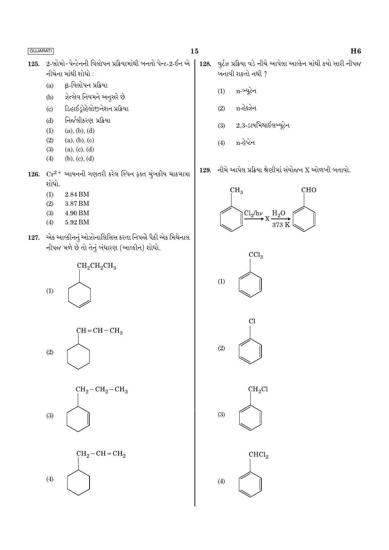- 2-બ્રોમો-પેન્ટેનની વિલોપન પ્રક્રિયામાંથી બનતો પેન્ટ-2-ઈન એ 125. નીચેના માંથી શોધો :
	- β-વિલોપન પ્રક્રિયા  $(a)$
	- ઝેત્સેવ નિયમને અનુસરે છે  $(b)$
	- ડિહાઈડ્રોહેલોજીનેશન પ્રક્રિયા  $\left( \mathrm{c}\right)$
	- નિર્જલીકરણ પ્રક્રિયા  $(d)$
	- $(a), (b), (d)$  $(1)$
	- $(2)$  $(a), (b), (c)$
	- $(3)$  $(a), (c), (d)$
	- $(b), (c), (d)$  $(4)$
- 126.  $Cr^{2+}$  આયનની ગણતરી કરેલ સ્પિન ફક્ત ચુંબકીય ચાકમાત્રા શોધો.
	- $(1)$ 2.84 BM
	- $(2)$ 3.87 BM
	- $(3)$ 4.90 BM
	- 5.92 BM  $(4)$
- 127. એક આલ્કીનનું ઓઝોનાલિસિસ કરતા નિપજો પૈકી એક મિથેનાલ નીપજ મળે છે તો તેનું બંધારણ (આલ્કીન) શોધો.





વુર્ટઝ પ્રક્રિયા વડે નીચે આપેલા આલ્કેન માંથી કયો સારી નીપજ 128. બનાવી શકતો નથી ?

- n-બ્યૂટેન  $(1)$
- n-હેક્ઝેન  $(2)$
- $2,3$ -ડાયમિથાઈલબ્યૂટેન  $(3)$
- n-હેપ્ટેન  $(4)$
- નીચે આપેલ પ્રક્રિયા શ્રેણીમાં સંયોજન  $\boldsymbol{\mathrm{X}}$  ઓળખી બતાવો. 129.







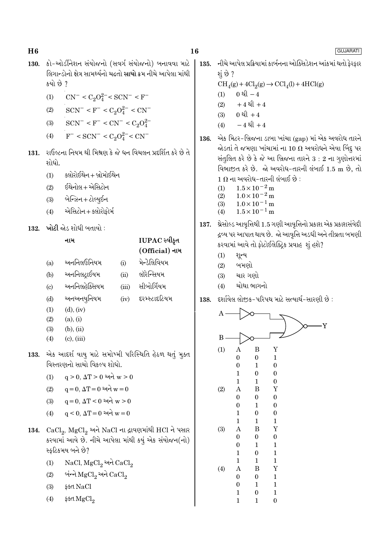135.

136.

130. કો-ઓર્ડીનેશન સંયોજનો (સવર્ગ સંયોજનો) બનાવવા માટે લિગાન્ડોનો ક્ષેત્ર સામર્થ્યનો ચઢતો સાચો ક્રમ નીચે આપેલા માંથી કયો છે ?

- $CN^{-} < C_2O_4^{2-} < SCN^{-} < F^{-}$  $(1)$
- $SCN^- < F^- < C_2O_4^{2-} < CN^ (2)$
- $\text{SCN}^- < \text{F}^- < \text{CN}^- < \text{C}_2\text{O}_4^{2-}$  $(3)$
- $F^-$  < SCN<sup>-</sup> < C<sub>2</sub>O<sub>4</sub><sup>2</sup><sup>-</sup> < CN<sup>-</sup>  $(4)$

રાઉલ્ટના નિયમ થી મિશ્રણ કે જે ધન વિચલન પ્રદર્શિત કરે છે તે 131. શોધો.

- $(1)$ ક્લોરોઈથેન + બ્રોમોઈથેન
- ઈથેનોલ+એસિટોન  $(2)$
- બેન્ઝિન + ટોલ્યૂઈન  $(3)$
- એસિટોન + ક્લોરોફોર્મ  $(4)$
- $132 -$  ખોટી જોડ શોધી બતાવો :

#### નામ

 $(a)$ 

## IUPAC સ્વીકૃત (Official) નામ

- भेन्डेलिवियभ અનનિલઉનિયમ  $(i)$
- અનનિલટાઈયમ લૉરેન્સિયમ  $(b)$  $(ii)$
- અનનિલહેક્સિયમ સીબોર્ગિયમ  $(iii)$  $(c)$
- અનઅનયુનિયમ દરમ્સ્ટાદટિયમ  $(d)$  $(iv)$
- $(d)$ ,  $(iv)$  $(1)$
- $(2)$  $(a)$ ,  $(i)$
- $(b), (ii)$  $(3)$
- $(c)$ ,  $(iii)$  $(4)$
- 133. એક આદર્શ વાયુ માટે સમોખ્મી પરિસ્થિતિ હેઠળ થતું મુક્ત વિસ્તરણનો સાચો વિકલ્પ શોધો.
	- $q > 0$ ,  $\Delta T > 0$  અને  $w > 0$  $(1)$
	- $q = 0$ ,  $\Delta T = 0$  અને  $w = 0$  $(2)$
	- $q = 0$ ,  $\Delta T < 0$  અને  $w > 0$  $(3)$
	- $\alpha \leq 0$ .  $\Delta T = 0$  અને  $w = 0$  $(4)$
- 134.  $CaCl<sub>2</sub>$ ,  $MgCl<sub>2</sub>$  અને NaCl ના દ્રાવણમાંથી HCl ને પસાર કરવામાં આવે છે. નીચે આપેલા માંથી કયું એક સંયોજન(નો) સ્કટિકમય બને છે?
	- NaCl, MgCl<sub>2</sub> અને CaCl<sub>2</sub>  $(1)$
	- બંન્ને MgCl, અને CaCl,  $(2)$
	- ફક્ત NaCl  $(3)$
	- ફક્ત MgCl<sub>o</sub>  $(4)$

નીચે આપેલ પ્રક્રિયામાં કાર્બનના ઓક્સિડેશન આંકમાં થતો કેરકાર

- શું છે ?  $CH<sub>4</sub>(g) + 4Cl<sub>2</sub>(g) \rightarrow CCl<sub>4</sub>(l) + 4HCl(g)$  $0 \triangleleft -4$  $(1)$  $+4$  થી  $+4$  $(2)$ 0  $l + 4$  $(3)$  $-4$  થી  $+4$  $(4)$ એક મિટર-બ્રિજના ડાબા ખાંચા (gap) માં એક અવરોધ તારને
- જોડતાં તે જમણા ખાંચામાં ના 10  $\Omega$  અવરોધને એવા બિંદૂ પર સંતુલિત કરે છે કે જે આ બ્રિજના તારને  $3:2$  ના ગૃણોત્તરમાં વિભાજીત કરે છે. જો અવરોધ-તારની લંબાઈ 1.5 m છે. તો  $1 \, \Omega$  ના અવરોધ-તારની લંબાઈ છે :
	- $1.5\times10^{-2}\,\mathrm{m}$  $(1)$
	- $1.0 \times 10^{-2}$  m  $(2)$
	- $(3)$  $1.0\times10^{-1}\,\mathrm{m}$
	- $1.5 \times 10^{-1}$  m  $(4)$
- 137. શ્રેસોલ્ડ આવૃત્તિથી 1.5 ગણી આવૃત્તિનો પ્રકાશ એક પ્રકાશસંવેદી દ્રવ્ય પર આપાત થાય છે. જો આવૃત્તિ અડધી અને તીવ્રતા બમણી કરવામાં આવે તો ફોટોઈલેક્ટ્રિક પ્રવાહ શું હશે?
	- $(1)$ શૂન્ય
	- બમણો  $(2)$
	- ચાર ગણો  $(3)$
	- ચોથા ભાગનો  $(4)$
- દર્શાવેલ લોજક-પરિપથ માટે સત્યાર્થ-સારણી છે : 138.

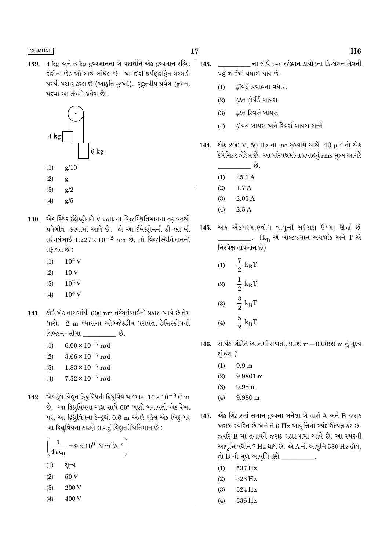4 kg અને 6 kg દ્રવ્યમાનના બે પદાર્થોને એક દ્રવ્યમાન રહિત 139. દોરીના છેડાઓ સાથે બાંધેલ છે. આ દોરી ઘર્ષણરહિત ગરગડી પરથી પસાર કરેલ છે (આકૃતિ જુઓ). ગુરૂત્વીય પ્રવેગ (g) ના પદમાં આ તંત્રનો પ્રવેગ છે :



- $(1)$  $g/10$
- $(2)$ g
- $(3)$  $g/2$
- $(4)$  $g/5$
- $140.$  એક સ્થિર ઈલેક્ટ્રોનને V volt ના વિજસ્થિતિમાનના તફાવતથી પ્રવેગીત કરવામાં આવે છે. જો આ ઈલેક્ટ્રોનની ડી-બ્રૉગ્લી તરંગલંબાઈ  $1.227 \times 10^{-2}$  nm છે, તો વિજસ્થિતિમાનનો તકાવત છે :
	- $10^4$  V  $(1)$
	- $10V$  $(2)$
	- $10^2$  V  $(3)$
	- $10^3$  V  $(4)$
- 141. કોઈ એક તારામાંથી 600 nm તરંગલંબાઈનો પ્રકાશ આવે છે તેમ ધારો. 2 m વ્યાસના ઓબ્જેક્ટીવ ધરાવતાં ટેલિસ્કોપની વિભેદન-સીમા છે.
	- $6.00 \times 10^{-7}$  rad  $(1)$
	- $3.66 \times 10^{-7}$  rad  $(2)$
	- $1.83 \times 10^{-7}$  rad  $(3)$
	- $7.32 \times 10^{-7}$  rad  $(4)$
- 142. એક ટૂંકા વિદ્યુત દ્વિધ્રુવિયની દ્વિધ્રુવિય ચાકમાત્રા  $16 \times 10^{-9}$  C m છે. આ ફિધ્રુવિયના અક્ષ સાથે 60° ખૂણો બનાવતી એક રેખા પર, આ ફિધ્રુવિયના કેન્દ્રથી 0.6 m અંતરે રહેલ એક બિંદુ પર આ દ્વિધ્રુવિયના કારણે લાગતું વિદ્યુતસ્થિતિમાન છે :

$$
\left(\frac{1}{4\pi\epsilon_0} = 9 \times 10^9 \text{ N m}^2/\text{C}^2\right)
$$
  
(1)  $2\text{C}^2$   
(2) 50 V  
(3) 200 V

 $(4)$ 400 V

- \_\_\_\_\_ ના લીધે p-n જંક્શન ડાયોડના ડિપ્લેશન ક્ષેત્રની 143. પહોળાઈમાં વધારો થાય છે.
	- કૉર્વર્ડ પ્રવાહના વધારા  $(1)$
	- કક્ત કૉર્વર્ડ બાયસ  $(2)$
	- $(3)$ કક્ત રિવર્સ બાયસ
	- ફૉર્વર્ડ બાયસ અને રિવર્સ બાયસ બન્ને  $(4)$
- એક 200 V, 50 Hz ના ac સપ્લાય સાથે 40 µF નો એક 144. કેપેસિટર જોડેલ છે. આ પરિપથમાંના પ્રવાહનું rms મૂલ્ય આશરે
	- \_છે.  $25.1A$  $(1)$
	- $1.7A$  $(2)$
	- $(3)$ 2.05 A
	- $2.5A$  $(4)$
- એક એકપરમાણ્વીય વાયની સરેરાશ ઉષ્મા ઊર્જા છે 145. \_\_\_\_\_\_\_\_. (k<sub>B</sub> એ બોલ્ટઝમાન અચળાંક અને T એ
	- નિરપેક્ષ તાપમાન છે)  $\frac{7}{2} k_B T$  $(1)$  $\frac{1}{2} k_B T$ <br> $\frac{3}{2} k_B T$  $(2)$
	- $(3)$
	- $\frac{5}{2} k_B T$  $(4)$
- સાર્થક અંકોને ધ્યાનમાં રાખતાં,  $9.99 \text{ m} 0.0099 \text{ m}$  નું મુલ્ય 146. શું હશે ?
	- $(1)$  $9.9<sub>m</sub>$
	- $(2)$ 9.9801 m
	- $(3)$ 9.98 m
	- 9.980 m  $(4)$
- એક ગિટારમાં સમાન દ્રવ્યના બનેલા બે તારો A અને B જરાક 147. અસમ સ્વરિત છે અને તે 6 Hz આવૃત્તિનો સ્પંદ ઉત્પન્ન કરે છે. જયારે B માં તનાવને જરાક ઘટાડવામાં આવે છે, આ સ્પંદની આવૃત્તિ વધીને  $7 \text{ Hz}$  થાય છે. જો $\text{A}$  ની આવૃત્તિ 530  $\text{Hz}$  હોય, તો B ની મૂળ આવૃત્તિ હશે <u>સાંત પર કરવા હ</u>
	- 537 Hz  $(1)$
	- $(2)$ 523 Hz
	- $(3)$ 524 Hz
	- 536 Hz  $(4)$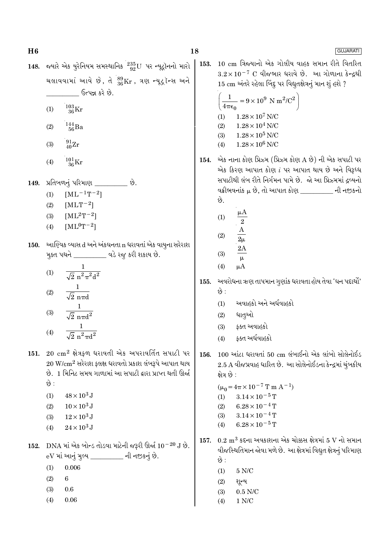GUJARATI

- 148. જ્યારે એક યુરેનિયમ સમસ્થાનિક  $^{235}_{92}$ U પર ન્યૂટ્રૉનનો મારો ચલાવવામાં આવે છે, તે  $^{89}_{36}\rm{Kr}$ , ત્રણ ન્યૂટ્રૉન્સ અને ઉત્પન્ન કરે છે.
	- $\frac{103}{36}\mathrm{Kr}$  $(1)$
	- $\frac{144}{56}Ba$  $(2)$
	- $\frac{91}{40}$ Zr  $(3)$
	- $^{101}_{36}$ Kr  $(4)$
- પ્રતિબળનું પરિમાણ \_\_\_\_\_\_\_\_\_ છે. 149.
	- $[\mathrm{ML^{-1}T^{-2}}]$  $(1)$
	- $[MLT^{-2}]$  $(2)$
	- $[ML^2T^{-2}]$  $(3)$
	- $[ML^0T^{-2}]$  $(4)$
- 150. આણ્વિક વ્યાસ d અને અંકઘનતા n ધરાવતાં એક વાયુના સરેરાશ મૂક્ત પથને \_\_\_\_\_\_\_\_\_\_ વડે રજુ કરી શકાય છે.
	- $(1)$  $\overline{\sqrt{2} \; n^2 \pi^2 d^2}$  $(2)$  $\sqrt{2}$  nπd  $\frac{1}{\sqrt{2} \pi \pi d^2}$  $(3)$
	- $(4)$
- 151.  $20 \text{ cm}^2$  ક્ષેત્રફળ ધરાવતી એક અપરાવર્તિત સપાટી પર  $20 \text{ W/cm}^2$  સરેરાશ ફ્લક્ષ ધરાવતો પ્રકાશ લંબરૂપે આપાત થાય છે. 1 મિનિટ સમય ગાળામાં આ સપાટી દ્વારા પ્રાપ્ત થતી ઊર્જા છે :
	- $48 \times 10^3$  J  $(1)$
	- $10 \times 10^3$  J  $(2)$
	- $12 \times 10^3$  J  $(3)$
	- $24 \times 10^3$  J  $(4)$
- 152. DNA માં એક બોન્ડ તોડવા માટેની જરૂરી ઊર્જા  $10^{-20}$  J છે. eV માં આનું મુલ્ય \_\_\_\_\_\_\_\_ ની નજીકનું છે.
	- 0.006  $(1)$
	- $(2)$ 6
	- $(3)$  $0.6$
	- $0.06$  $(4)$

153. 10 cm ત્રિજયાનો એક ગોલીય વાહક સમાન રીતે વિતરિત  $3.2 \times 10^{-7}$  C વીજભાર ધરાવે છે. આ ગોળાના કેન્દ્રથી 15 cm અંતરે રહેલા બિંદુ પર વિદ્યુતક્ષેત્રનું માન શું હશે ?

$$
\left(\frac{1}{4\pi\epsilon_0} = 9 \times 10^9 \text{ N m}^2/\text{C}^2\right)
$$
  
(1) 1.28 × 10<sup>7</sup> N/C  
(2) 1.28 × 10<sup>4</sup> N/C

- $(3)$  $1.28 \times 10^5$  N/C
- $1.28\times10^6$  N/C  $(4)$

154. એક નાના કોણ પ્રિઝ્મ (પ્રિઝ્મ કોણ A છે) ની એક સપાટી પર એક કિરણ આપાત કોણ  $i$  પર આપાત થાય છે અને વિરૂધ્ધ સપાટીથી લંબ રીતે નિર્ગમન પામે છે. જો આ પ્રિઝ્મમાં દ્રવ્યનો વક્રીભવનાંક μ છે. તો આપાત કોણ વાસ્તા પાસી નજીકનો છે.

- $\mu A$  $(1)$  $\sqrt{2}$  $\boldsymbol{\rm{A}}$  $(2)$  $2\mu$  $2A$  $(3)$  $\mu$
- $\mu A$  $(4)$

અવરોધના ઋણ તાપમાન ગુણાંક ધરાવતા હોય તેવા 'ઘન પદાર્થો' 155. છે :

- અવાહકો અને અર્ધવાહકો  $(1)$
- ધાતૃઓ  $(2)$
- કક્ત અવાહકો  $(3)$
- ફક્ત અર્ધવાહકો  $(4)$
- $100$  આંટા ધરાવતાં  $50 \text{ cm}$  લંબાઈનો એક લાંબો સોલેનોઈડ 156. 2.5 A વીજપ્રવાહ ધારિત છે. આ સોલેનોઈડના કેન્દ્રમાં ચુંબકીય ક્ષેત્ર છે :
	- $(\mu_0 = 4\pi \times 10^{-7} \text{ T m A}^{-1})$  $3.14 \times 10^{-5}$  T  $(1)$  $6.28 \times 10^{-4}$  T  $(2)$  $3.14 \times 10^{-4}$  T  $(3)$
	- $6.28 \times 10^{-5}$  T  $(4)$
- 157.  $0.2 \text{ m}^3$  કદના અવકાશના એક ચોક્કસ ક્ષેત્રમાં 5 V નો સમાન વીજસ્થિતિમાન જોવા મળે છે. આ ક્ષેત્રમાં વિદ્યુત ક્ષેત્રનું પરિમાણ છે :
	- $(1)$  $5$  N/C  $\,$
	- $(2)$ શૂન્ય
	- $0.5$  N/C  $(3)$
	- $1 N/C$  $(4)$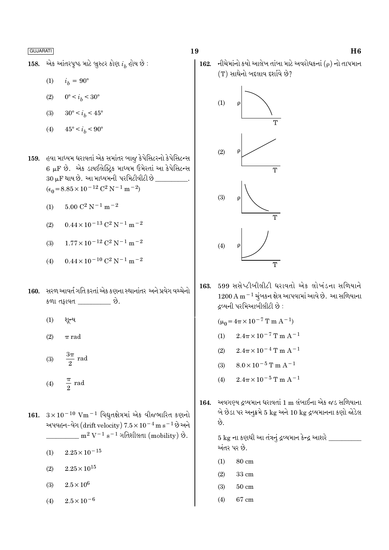એક આંતરપૃષ્ઠ માટે બ્રુસ્ટર કોણ  $i_h$  હોય છે : 158.

- $(1)$  $i_h = 90^{\circ}$
- $0^{\circ} < i_b < 30^{\circ}$  $(2)$
- $(3)$  $30^{\circ} < i_h < 45^{\circ}$
- $(4)$  $45^{\circ} < i_h < 90^{\circ}$

159. હવા માધ્યમ ધરાવતાં એક સમાંતર બાજુ કેપેસિટરનો કેપેસિટન્સ 6 µF છે. એક ડાયઈલેક્ટિક માધ્યમ ઉમેરતાં આ કેપેસિટન્સ 30 µF થાય છે. આ માધ્યમની પરમિટીવીટી છે  $(\epsilon_0 = 8.85 \times 10^{-12} \text{ C}^2 \text{ N}^{-1} \text{ m}^{-2})$ 

- $5.00 C^2 N^{-1} m^{-2}$  $(1)$
- $0.44 \times 10^{-13}$  C<sup>2</sup> N<sup>-1</sup> m<sup>-2</sup>  $(2)$
- $1.77 \times 10^{-12}$  C<sup>2</sup> N<sup>-1</sup> m<sup>-2</sup>  $(3)$
- $0.44 \times 10^{-10}$  C<sup>2</sup> N<sup>-1</sup> m<sup>-2</sup>  $(4)$
- 160. સરળ આવર્ત ગતિ કરતાં એક કણના સ્થાનાંતર અને પ્રવેગ વચ્ચેનો કળા તફાવત \_\_\_\_\_\_\_\_\_\_ છે.
	- શૂન્ય  $(1)$
	- $(2)$  $\pi$  rad
	- $rac{3\pi}{2}$  rad  $(3)$  $\frac{\pi}{2}$  rad  $(4)$
- 161.  $3 \times 10^{-10}$  Vm<sup>-1</sup> વિદ્યુતક્ષેત્રમાં એક વીજભારિત કણનો અપવહન-વેગ (drift velocity)  $7.5 \times 10^{-4}$  m s<sup>-1</sup> છે અને  $\rm m^2\,V^{-1}\,s^{-1}$  ગતિશીલતા (mobility) છે.
	- $2.25 \times 10^{-15}$  $(1)$
	- $2.25\times10^{15}$  $(2)$
	- $2.5\times10^6$  $(3)$
	- $2.5 \times 10^{-6}$  $(4)$

### 19





599 સસેપ્ટીબીલીટી ધરાવતો એક લોખંડના સળિયાને 163.  $1200\,\mathrm{A\,m^{-1}}$  ચૂંબકન ક્ષેત્ર આપવામાં આવે છે. આ સળિયાના **દવ્યની પરમિઆબીલીટી છે** :

 $(\mu_0 = 4\pi \times 10^{-7} \text{ T m A}^{-1})$ 

- $2.4\pi \times 10^{-7}$  T m A<sup>-1</sup>  $(1)$
- $2.4\pi \times 10^{-4}$  T m A<sup>-1</sup>  $(2)$
- $8.0 \times 10^{-5}$  T m A<sup>-1</sup>  $(3)$
- $2.4\pi \times 10^{-5}$  T m A<sup>-1</sup>  $(4)$
- અવગણ્ય દ્રવ્યમાન ધરાવતાં 1 m લંબાઈના એક જડ સળિયાના 164. બે છેડા પર અનુક્રમે 5 kg અને 10 kg દ્રવ્યમાનના કણો જોડેલ છે.

 $5~\rm{kg}$  ના કણથી આ તંત્રનું દ્રવ્યમાન કેન્દ્ર આશરે  $\_$ અંતર પર છે.

- $80 \text{ cm}$  $(1)$
- $(2)$  $33 \text{ cm}$
- $(3)$  $50\;{\rm cm}$
- 67 cm  $(4)$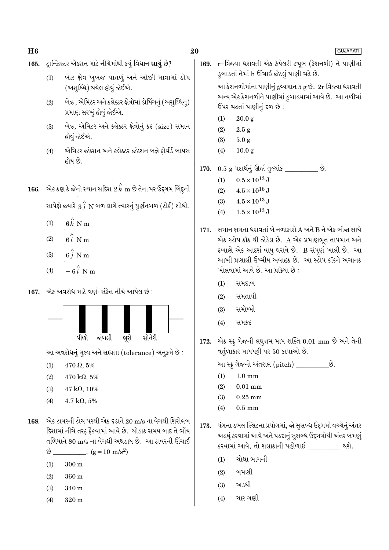20

- ટ્રાન્ઝિસ્ટર એક્શન માટે નીચેમાંથી કયું વિધાન સાચું છે? 165.
	- બેઝ ક્ષેત્ર ખુબજ પાતળું અને ઓછી માત્રામાં ડોપ  $(1)$ (અશુધ્ધિ) થયેલ હોવું જોઈએ.
	- બેઝ , એમિટર અને કલેક્ટર ક્ષેત્રોમાં ડોપિંગનું (અશુધ્ધિનું)  $(2)$ પ્રમાણ સરખું હોવું જોઈએ.
	- બેઝ, એમિટર અને કલેક્ટર ક્ષેત્રોનું કદ (size) સમાન  $(3)$ હોવું જોઈએ.
	- $(4)$ એમિટર જંક્શન અને કલેક્ટર જંક્શન બન્ને ફોર્વર્ડ બાયસ હોય છે.
- 166. એક કણ કે જેનો સ્થાન સદિશ  $\stackrel{\sim}{2}\stackrel{\sim}{k}$  m છે તેના પર ઉદ્દગમ બિંદુની સાપેક્ષે જ્યારે  $\stackrel{\frown}{3}$   $\stackrel{\frown}{N}$  બળ લાગે ત્યારનું ઘુર્ણનબળ (ટોર્ક) શોધો.
	- $(1)$  $6\hat{k}$  N m
	- $6\hat{i}$  N m  $(2)$
	- $6\stackrel{?}{i}$  N m  $(3)$
	- $-6i$  N m  $(4)$
- 167. એક અવરોધ માટે વર્ણ-સંકેત નીચે આપેલ છે :



આ અવરોધનું મુલ્ય અને સહ્યતા (tolerance) અનુક્રમે છે :

- $470 \Omega, 5\%$  $(1)$
- $(2)$  $470 \text{ k}\Omega, 5\%$
- $(3)$  $47 k\Omega, 10\%$
- $4.7 \text{ k}\Omega, 5\%$  $(4)$
- 168. એક ટાવરની ટોચ પરથી એક દડાને 20 m/s ના વેગથી શિરોલંબ દિશામાં નીચે તરફ ફેંકવામાં આવે છે. થોડાક સમય બાદ તે ભોંય તળિયાને 80 m/s ના વેગથી અથડાય છે. આ ટાવરની ઊંચાઈ

 $\vartheta$  \_\_\_\_\_\_\_\_\_\_\_. (g = 10 m/s<sup>2</sup>)

- $300 \text{ m}$  $(1)$
- 360 m  $(2)$
- $(3)$  $340<sub>m</sub>$
- $320<sub>m</sub>$  $(4)$

r-ત્રિજ્યા ધરાવતી એક કેપેલરી ટચૂબ (કેશનળી) ને પાણીમાં 169. ડુબાડતાં તેમાં h ઊંચાઈ જેટલું પાણી ચઢે છે.

આ કેશનળીમાંના પાણીનું દ્રવ્યમાન 5 g છે. 2r ત્રિજ્યા ધરાવતી અન્ય એક કેશનળીને પાણીમાં ડ્રબાડવામાં આવે છે. આ નળીમાં ઉપર ચઢતાં પાણીનું દળ છે:

- $20.0 g$  $(1)$
- $(2)$  $2.5 g$
- $(3)$  $5.0 g$
- $(4)$  $10.0<sub>g</sub>$
- $0.5~{\rm g}$  પદાર્થનું ઊર્જા તુલ્યાંક \_\_\_\_\_\_\_\_\_ છે. 170.
	- $0.5 \times 10^{13}$  J  $(1)$
	- $4.5 \times 10^{16}$  J  $(2)$
	- $4.5\times10^{13}\,\mathrm{J}$  $(3)$
	- $1.5 \times 10^{13}$  J  $(4)$
- 171. સમાન ક્ષમતા ધરાવતાં બે નળાકારો A અને B ને એક બીજા સાથે એક સ્ટોપ કૉક થી જોડેલ છે. A એક પ્રમાણભુત તાપમાન અને દબાણે એક આદર્શ વાયુ ધરાવે છે. B સંપૂર્ણ ખાલી છે. આ આખી પ્રણાલી ઉષ્મીય અવાહક છે. આ સ્ટોપ કૉકને અચાનક ખોલવામાં આવે છે. આ પ્રક્રિયા છે :
	- સમદ્દાબ  $(1)$
	- $(2)$ સમતાપી
	- સમોષ્મી  $(3)$
	- સમકદ  $(4)$
- 172. એક સ્ક્રુગેજની લઘુત્તમ માપ શક્તિ 0.01 mm છે અને તેની વર્તુળાકાર માપપટ્ટી પર 50 કાપાઓ છે.
	- આ સ્ક્રુ ગેજનો અંતરાલ (pitch) \_\_\_\_\_\_\_\_\_\_છે.
	- $1.0 \text{ mm}$  $(1)$
	- $(2)$  $0.01$  mm
	- $(3)$  $0.25$  mm
	- $0.5 \text{ mm}$  $(4)$
- યંગના ડબલ સ્લિટના પ્રયોગમાં, જો સૂસબ્ધ ઉદ્દગમો વચ્ચેનું અંતર 173. અડધું કરવામાં આવે અને પડદાનું સુસબ્ધ ઉદ્દગમોથી અંતર બમણું કરવામાં આવે, તો શલાકાની પહોળાઈ \_\_\_\_\_\_\_\_\_ થશે.
	- ચોથા ભાગની  $(1)$
	- બમણી  $(2)$
	- અડધી  $(3)$
	- ચાર ગણી  $(4)$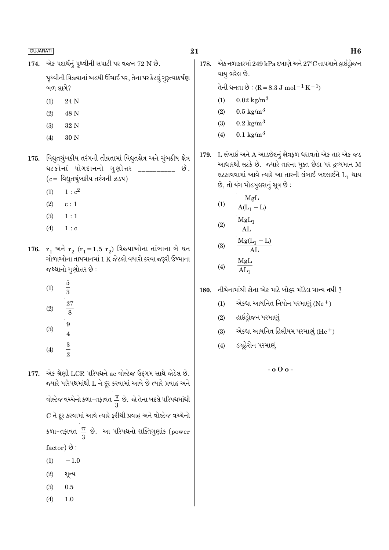એક પદાર્થનું પૃથ્વીની સપાટી પર વજન 72 N છે. 174.

> પૃથ્વીની ત્રિજ્યાનાં અડધી ઊંચાઈ પર, તેના પર કેટલું ગુરૂત્વાકર્ષણ બળ લાગે?

- $(1)$ 24 N
- $(2)$ 48 N
- 32 N  $(3)$
- $(4)$ 30 N

175. વિદ્યુતચુંબકીય તરંગની તીવ્રતામાં વિદ્યુતક્ષેત્ર અને ચુંબકીય ક્ષેત્ર ઘટકોનાં યોગદાનનો ગુણોત્તર \_ છે.  $(c =$  વિદ્યુતચુંબકીય તરંગની ઝડપ)

- $1 \cdot c^2$  $(1)$
- $(2)$  $c:1$
- $(3)$  $1:1$
- $1 : c$  $(4)$

176.  $r_1$  અને  $r_2$  ( $r_1$ =1.5  $r_2$ ) ત્રિજ્યાઓના તાંબાના બે ઘન ગોળાઓના તાપમાનમાં 1 K જેટલો વધારો કરવા જરૂરી ઉષ્માના જથ્થાનો ગુણોત્તર છે:

- $\overline{5}$  $(1)$  $\frac{1}{3}$  $\frac{27}{8}$  $(2)$  $\frac{9}{4}$   $\frac{3}{2}$  $(3)$
- $(4)$

એક શ્રેણી LCR પરિપથને ac વોલ્ટેજ ઉદૃગમ સાથે જોડેલ છે. 177. જ્યારે પરિપથમાંથી L ને દૂર કરવામાં આવે છે ત્યારે પ્રવાહ અને વોલ્ટેજ વચ્ચેનો કળા-તફાવત $\frac{\pi}{3}$  છે. જો તેના બદલે પરિપથમાંથી C ને દૂર કરવામાં આવે ત્યારે ફરીથી પ્રવાહ અને વોલ્ટેજ વચ્ચેનો કળા-તફાવત $\frac{\pi}{6}$  છે. આ પરિપથનો શક્તિગુણાંક (power factor)  $\Theta$ :  $(1)$  $-1.0$ 

- $(2)$ શૂન્ય
- $(3)$  $0.5$
- $(4)$  $1.0$

21

એક નળાકારમાં 249 kPa દબાણે અને 27°C તાપમાને હાઈડ્રોજન 178. વાયુ ભરેલ છે.

તેની ધનતા છે :  $(R = 8.3 J \text{ mol}^{-1} \text{ K}^{-1})$ 

- $0.02 \text{ kg/m}^3$  $(1)$
- $0.5 \text{ kg/m}^3$  $(2)$
- $0.2 \text{ kg/m}^3$  $(3)$
- $0.1 \text{ kg/m}^3$  $(4)$

L લંબાઈ અને A આડછેદનું ક્ષેત્રફળ ધરાવતો એક તાર એક જડ 179. આધારથી લટકે છે. જ્યારે તારના મુક્ત છેડા પર દ્રવ્યમાન M લટકાવવામાં આવે ત્યારે આ તારની લંબાઈ બદલાઈને  $L_1$  થાય છે, તો યંગ મોડચુલસનું સૂત્ર છે :

$$
(1) \qquad \frac{\text{MgL}}{\text{A(L}_1 - \text{L})}
$$

$$
(2) \qquad \frac{\text{MgL}_1}{\text{AL}}
$$

$$
\begin{array}{rcl}\n\text{(3)} & \frac{\text{Mg}(L_1 - L)}{\text{AL}} \\
\text{(4)} & \frac{\text{Mg}L}{\text{AL}}\n\end{array}
$$

 $(4)$  $AL_1$ 

નીચેનામાંથી કોના એક માટે બોહર મૉડેલ માન્ય **નથી** ? 180.

- એકધા આયનિત નિયોન પરમાણું (Ne  $^+$ )  $(1)$
- $(2)$ હાઈડ્રોજન પરમાણું
- એકધા આયનિત હિલીયમ પરમાણું  $(He<sup>+</sup>)$  $(3)$
- ડચૂટેરોન પરમાણું  $(4)$

 $-0.00 -$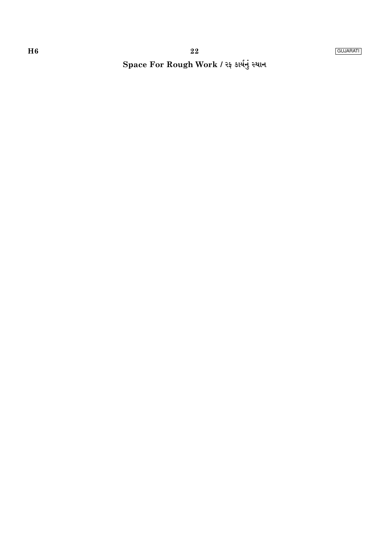# Space For Rough Work / રફ કાર્યનું સ્થાન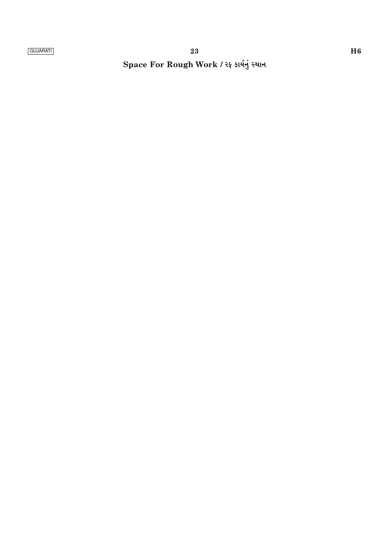Space For Rough Work / રફ કાર્યનું સ્થાન